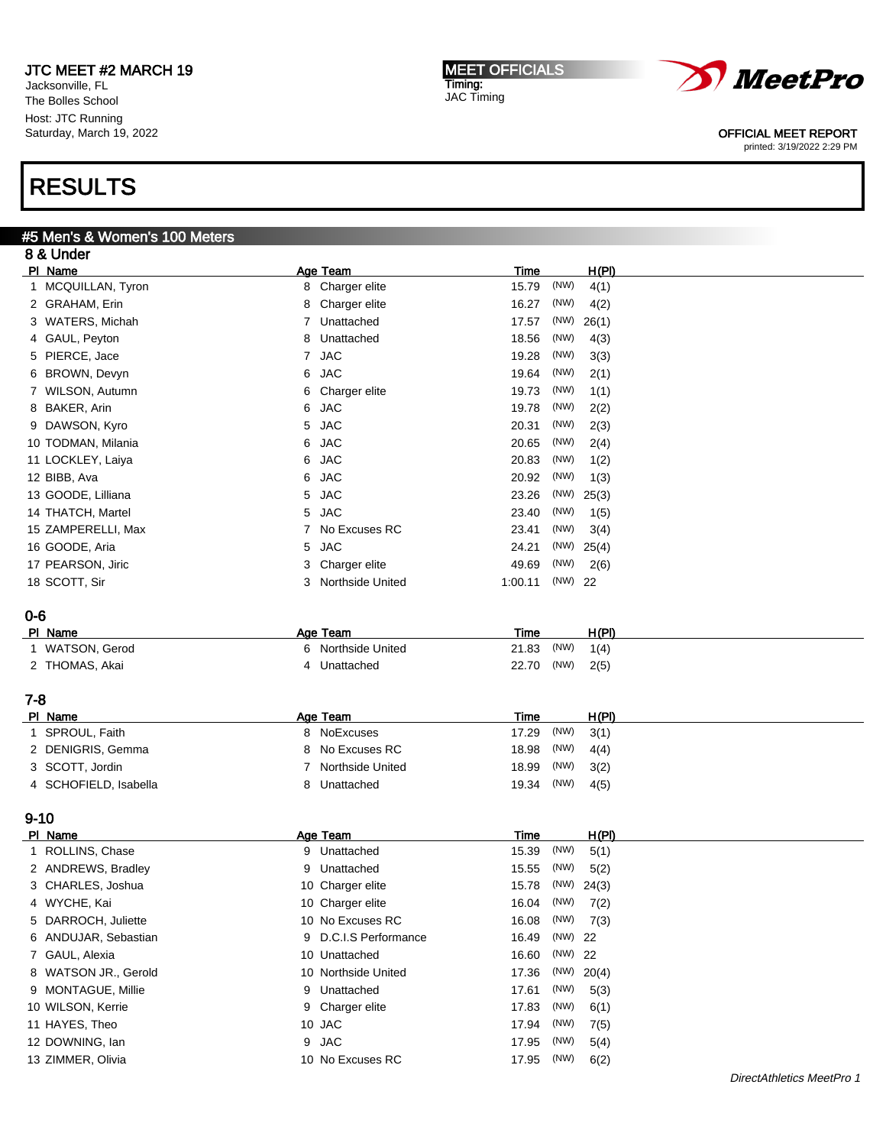Jacksonville, FL The Bolles School Host: JTC Running Saturday, March 19, 2022

# RESULTS

9-10

## #5 Men's & Women's 100 Meters

| 8 & Under          |                |                    |             |         |       |  |
|--------------------|----------------|--------------------|-------------|---------|-------|--|
| PI Name            |                | Age Team           | <b>Time</b> |         | H(PI) |  |
| 1 MCQUILLAN, Tyron | 8              | Charger elite      | 15.79       | (NW)    | 4(1)  |  |
| 2 GRAHAM, Erin     | 8              | Charger elite      | 16.27       | (NW)    | 4(2)  |  |
| 3 WATERS, Michah   | 7              | Unattached         | 17.57       | (NW)    | 26(1) |  |
| 4 GAUL, Peyton     | 8              | Unattached         | 18.56       | (NW)    | 4(3)  |  |
| 5 PIERCE, Jace     | $\overline{7}$ | <b>JAC</b>         | 19.28       | (NW)    | 3(3)  |  |
| 6 BROWN, Devyn     | 6              | <b>JAC</b>         | 19.64       | (NW)    | 2(1)  |  |
| 7 WILSON, Autumn   | 6              | Charger elite      | 19.73       | (NW)    | 1(1)  |  |
| 8 BAKER, Arin      | 6              | <b>JAC</b>         | 19.78       | (NW)    | 2(2)  |  |
| 9 DAWSON, Kyro     | 5              | <b>JAC</b>         | 20.31       | (NW)    | 2(3)  |  |
| 10 TODMAN, Milania | 6              | <b>JAC</b>         | 20.65       | (NW)    | 2(4)  |  |
| 11 LOCKLEY, Laiya  | 6              | <b>JAC</b>         | 20.83       | (NW)    | 1(2)  |  |
| 12 BIBB, Ava       | 6              | <b>JAC</b>         | 20.92       | (NW)    | 1(3)  |  |
| 13 GOODE, Lilliana | 5              | <b>JAC</b>         | 23.26       | (NW)    | 25(3) |  |
| 14 THATCH, Martel  | 5              | <b>JAC</b>         | 23.40       | (NW)    | 1(5)  |  |
| 15 ZAMPERELLI, Max |                | No Excuses RC      | 23.41       | (NW)    | 3(4)  |  |
| 16 GOODE, Aria     | 5              | <b>JAC</b>         | 24.21       | (NW)    | 25(4) |  |
| 17 PEARSON, Jiric  | 3              | Charger elite      | 49.69       | (NW)    | 2(6)  |  |
| 18 SCOTT, Sir      | 3              | Northside United   | 1:00.11     | (NW) 22 |       |  |
| $0 - 6$            |                |                    |             |         |       |  |
| PI Name            |                | Age Team           | <b>Time</b> |         | H(PI) |  |
| 1 WATSON, Gerod    |                | 6 Northside United | 21.83       | (NW)    | 1(4)  |  |
| 2 THOMAS, Akai     | 4              | Unattached         | 22.70       | (NW)    | 2(5)  |  |
| $7 - 8$            |                |                    |             |         |       |  |
| PI Name            |                | Age Team           | Time        |         | H(PI) |  |
| SPROUL, Faith      | 8              | NoExcuses          | 17.29       | (NW)    | 3(1)  |  |

| SPROUL, Faith         | 8 NoExcuses      | $17.29$ (NW) $3(1)$ |  |
|-----------------------|------------------|---------------------|--|
| 2 DENIGRIS, Gemma     | 8 No Excuses RC  | 18.98 (NW) $4(4)$   |  |
| 3 SCOTT, Jordin       | Northside United | $18.99$ (NW) $3(2)$ |  |
| 4 SCHOFIELD, Isabella | 8 Unattached     | $19.34$ (NW) $4(5)$ |  |

| PI Name              | Age Team              | Time                  | H(PI) |
|----------------------|-----------------------|-----------------------|-------|
| 1 ROLLINS, Chase     | 9 Unattached          | (NW)<br>15.39         | 5(1)  |
| 2 ANDREWS, Bradley   | 9 Unattached          | (NW)<br>15.55         | 5(2)  |
| 3 CHARLES, Joshua    | 10 Charger elite      | $(NW)$ 24(3)<br>15.78 |       |
| 4 WYCHE, Kai         | 10 Charger elite      | (NW)<br>16.04         | 7(2)  |
| 5 DARROCH, Juliette  | 10 No Excuses RC      | (NW)<br>16.08         | 7(3)  |
| 6 ANDUJAR, Sebastian | 9 D.C.I.S Performance | (NW) 22<br>16.49      |       |
| 7 GAUL, Alexia       | 10 Unattached         | (NW) 22<br>16.60      |       |
| 8 WATSON JR., Gerold | 10 Northside United   | (NW) $20(4)$<br>17.36 |       |
| 9 MONTAGUE, Millie   | 9 Unattached          | (NW)<br>17.61         | 5(3)  |
| 10 WILSON, Kerrie    | 9 Charger elite       | (NW)<br>17.83         | 6(1)  |
| 11 HAYES, Theo       | 10 JAC                | (NW)<br>17.94         | 7(5)  |
| 12 DOWNING, Ian      | 9 JAC                 | (NW)<br>17.95         | 5(4)  |
| 13 ZIMMER, Olivia    | 10 No Excuses RC      | (NW)<br>17.95         | 6(2)  |



### OFFICIAL MEET REPORT

printed: 3/19/2022 2:29 PM

MEET OFFICIALS Timing: JAC Timing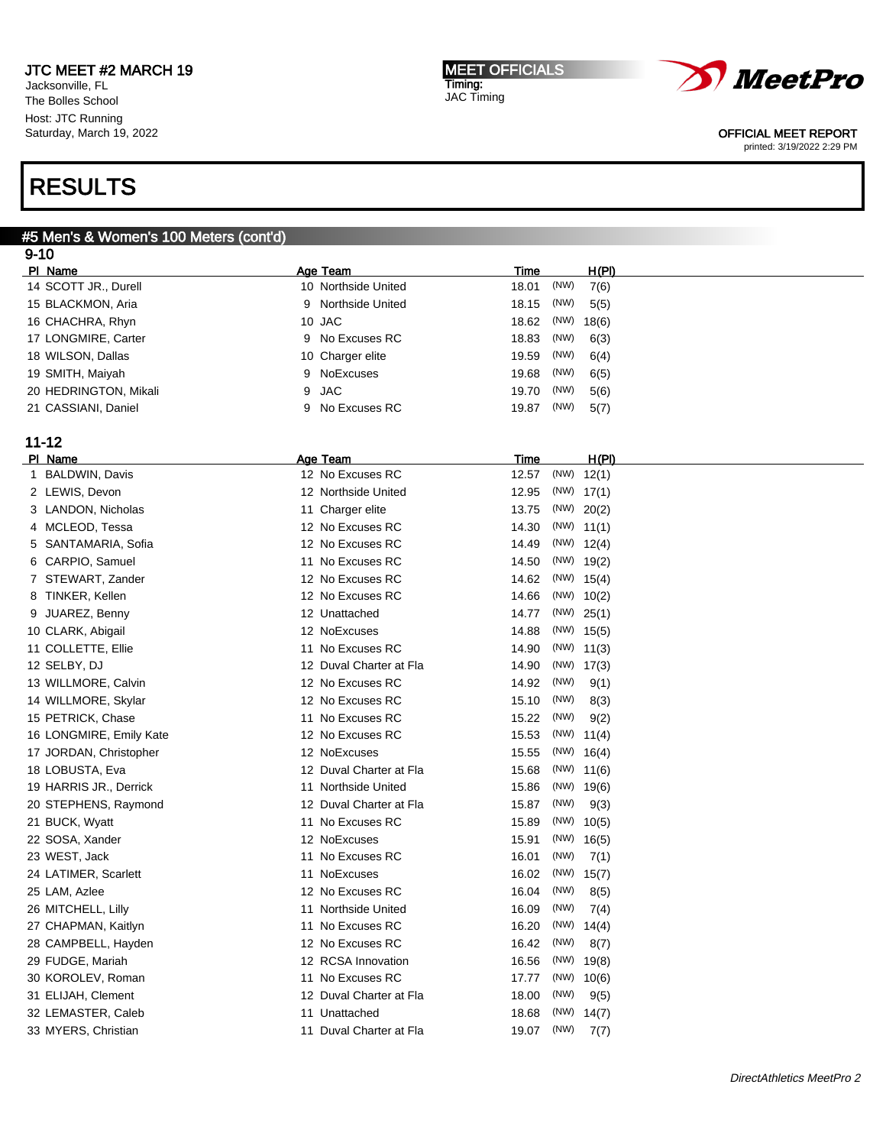Jacksonville, FL The Bolles School Host: JTC Running Saturday, March 19, 2022

# RESULTS

#### #5 Men's & Women's 100 Meters (cont'd) 9-10

| ອ- ເບ                   |                              |                             |  |
|-------------------------|------------------------------|-----------------------------|--|
| PI Name                 | Age Team                     | H(PI)<br>Time               |  |
| 14 SCOTT JR., Durell    | 10 Northside United          | (NW)<br>7(6)<br>18.01       |  |
| 15 BLACKMON, Aria       | <b>Northside United</b><br>9 | (NW)<br>18.15<br>5(5)       |  |
| 16 CHACHRA, Rhyn        | 10 JAC                       | (NW)<br>18.62<br>18(6)      |  |
| 17 LONGMIRE, Carter     | No Excuses RC<br>9           | (NW)<br>18.83<br>6(3)       |  |
| 18 WILSON, Dallas       | 10 Charger elite             | (NW)<br>19.59<br>6(4)       |  |
| 19 SMITH, Maiyah        | <b>NoExcuses</b><br>9        | (NW)<br>19.68<br>6(5)       |  |
| 20 HEDRINGTON, Mikali   | 9<br><b>JAC</b>              | (NW)<br>19.70<br>5(6)       |  |
| 21 CASSIANI, Daniel     | No Excuses RC<br>9           | (NW)<br>19.87<br>5(7)       |  |
| $11 - 12$               |                              |                             |  |
| PI Name                 | Age Team                     | <u>H(PI)</u><br><b>Time</b> |  |
| 1 BALDWIN, Davis        | 12 No Excuses RC             | $(NW)$ 12(1)<br>12.57       |  |
| 2 LEWIS, Devon          | 12 Northside United          | 12.95<br>$(NW)$ 17(1)       |  |
| 3 LANDON, Nicholas      | 11 Charger elite             | 13.75<br>(NW) 20(2)         |  |
| 4 MCLEOD, Tessa         | 12 No Excuses RC             | $(NW)$ 11(1)<br>14.30       |  |
| SANTAMARIA, Sofia<br>5  | 12 No Excuses RC             | $(NW)$ 12(4)<br>14.49       |  |
| CARPIO, Samuel<br>6     | 11 No Excuses RC             | $(NW)$ 19(2)<br>14.50       |  |
| 7 STEWART, Zander       | 12 No Excuses RC             | 14.62<br>$(NW)$ 15(4)       |  |
| TINKER, Kellen<br>8     | 12 No Excuses RC             | $(NW)$ 10(2)<br>14.66       |  |
| 9 JUAREZ, Benny         | 12 Unattached                | 14.77<br>$(NW)$ 25(1)       |  |
| 10 CLARK, Abigail       | 12 NoExcuses                 | $(NW)$ 15(5)<br>14.88       |  |
| 11 COLLETTE, Ellie      | 11 No Excuses RC             | $(NW)$ 11(3)<br>14.90       |  |
| 12 SELBY, DJ            | 12 Duval Charter at Fla      | $(NW)$ 17(3)<br>14.90       |  |
| 13 WILLMORE, Calvin     | 12 No Excuses RC             | (NW)<br>14.92<br>9(1)       |  |
| 14 WILLMORE, Skylar     | 12 No Excuses RC             | 15.10<br>(NW)<br>8(3)       |  |
| 15 PETRICK, Chase       | 11 No Excuses RC             | 15.22<br>(NW)<br>9(2)       |  |
| 16 LONGMIRE, Emily Kate | 12 No Excuses RC             | 15.53<br>$(NW)$ 11(4)       |  |
| 17 JORDAN, Christopher  | 12 NoExcuses                 | $(NW)$ 16(4)<br>15.55       |  |
| 18 LOBUSTA, Eva         | 12 Duval Charter at Fla      | $(NW)$ 11(6)<br>15.68       |  |
| 19 HARRIS JR., Derrick  | 11 Northside United          | $(NW)$ 19(6)<br>15.86       |  |
| 20 STEPHENS, Raymond    | 12 Duval Charter at Fla      | (NW)<br>15.87<br>9(3)       |  |
| 21 BUCK, Wyatt          | 11 No Excuses RC             | (NW)<br>15.89<br>10(5)      |  |
| 22 SOSA, Xander         | 12 NoExcuses                 | (NW)<br>15.91<br>16(5)      |  |
| 23 WEST, Jack           | 11 No Excuses RC             | (NW)<br>16.01<br>7(1)       |  |
| 24 LATIMER, Scarlett    | 11 NoExcuses                 | (NW)<br>16.02<br>15(7)      |  |
| 25 LAM, Azlee           | 12 No Excuses RC             | (NW)<br>16.04<br>8(5)       |  |
| 26 MITCHELL, Lilly      | 11 Northside United          | 16.09<br>(NW)<br>7(4)       |  |
| 27 CHAPMAN, Kaitlyn     | 11 No Excuses RC             | (NW)<br>16.20<br>14(4)      |  |
| 28 CAMPBELL, Hayden     | 12 No Excuses RC             | (NW)<br>16.42<br>8(7)       |  |
| 29 FUDGE, Mariah        | 12 RCSA Innovation           | (NW)<br>16.56<br>19(8)      |  |
| 30 KOROLEV, Roman       | 11 No Excuses RC             | (NW) 10(6)<br>17.77         |  |
| 31 ELIJAH, Clement      | 12 Duval Charter at Fla      | 18.00<br>(NW)<br>9(5)       |  |
| 32 LEMASTER, Caleb      | 11 Unattached                | 18.68<br>(NW)<br>14(7)      |  |
| 33 MYERS, Christian     | 11 Duval Charter at Fla      | (NW)<br>19.07<br>7(7)       |  |

MEET OFFICIALS Timing: JAC Timing



#### OFFICIAL MEET REPORT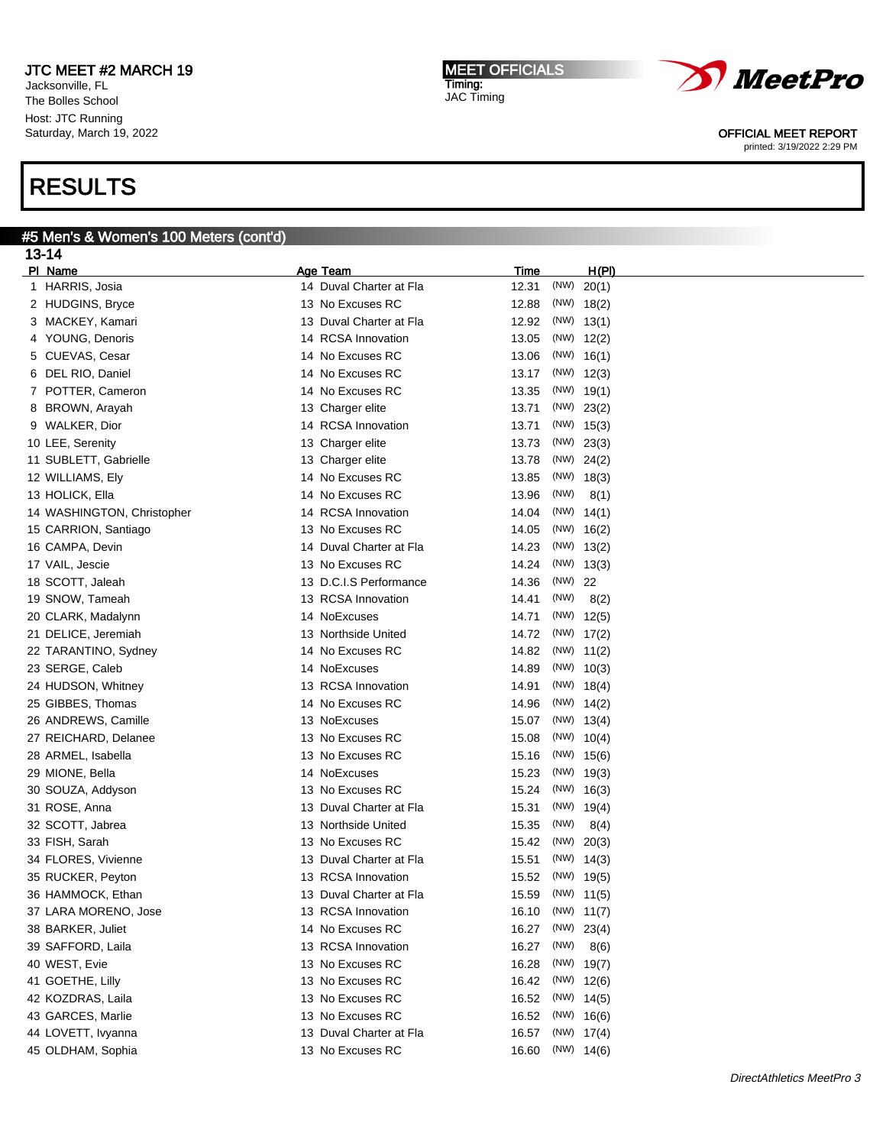Jacksonville, FL The Bolles School Host: JTC Running Saturday, March 19, 2022

# RESULTS

# #5 Men's & Women's 100 Meters (cont'd)

| 13-14                      |                         |                        |
|----------------------------|-------------------------|------------------------|
| PI Name                    | Age Team                | H(PI)<br><b>Time</b>   |
| 1 HARRIS, Josia            | 14 Duval Charter at Fla | (NW)<br>12.31<br>20(1) |
| 2 HUDGINS, Bryce           | 13 No Excuses RC        | 12.88<br>$(NW)$ 18(2)  |
| 3 MACKEY, Kamari           | 13 Duval Charter at Fla | 12.92<br>$(NW)$ 13(1)  |
| 4 YOUNG, Denoris           | 14 RCSA Innovation      | $(NW)$ 12(2)<br>13.05  |
| CUEVAS, Cesar<br>5         | No Excuses RC<br>14     | $(NW)$ 16(1)<br>13.06  |
| DEL RIO, Daniel<br>6       | No Excuses RC<br>14     | $(NW)$ 12(3)<br>13.17  |
| POTTER, Cameron<br>7       | 14 No Excuses RC        | $(NW)$ 19(1)<br>13.35  |
| BROWN, Arayah<br>8         | 13 Charger elite        | 13.71<br>(NW)<br>23(2) |
| 9 WALKER, Dior             | 14 RCSA Innovation      | $(NW)$ 15(3)<br>13.71  |
| 10 LEE, Serenity           | 13 Charger elite        | (NW)<br>13.73<br>23(3) |
| 11 SUBLETT, Gabrielle      | 13 Charger elite        | (NW)<br>13.78<br>24(2) |
| 12 WILLIAMS, Ely           | No Excuses RC<br>14     | $(NW)$ 18(3)<br>13.85  |
| 13 HOLICK, Ella            | No Excuses RC<br>14     | (NW)<br>13.96<br>8(1)  |
| 14 WASHINGTON, Christopher | 14 RCSA Innovation      | 14.04<br>(NW)<br>14(1) |
| 15 CARRION, Santiago       | 13 No Excuses RC        | 14.05<br>(NW)<br>16(2) |
| 16 CAMPA, Devin            | 14 Duval Charter at Fla | $(NW)$ 13(2)<br>14.23  |
| 17 VAIL, Jescie            | 13 No Excuses RC        | $(NW)$ 13(3)<br>14.24  |
| 18 SCOTT, Jaleah           | 13 D.C.I.S Performance  | (NW) 22<br>14.36       |
| 19 SNOW, Tameah            | 13 RCSA Innovation      | (NW)<br>14.41<br>8(2)  |
| 20 CLARK, Madalynn         | 14 NoExcuses            | 14.71<br>(NW)<br>12(5) |
| 21 DELICE, Jeremiah        | 13 Northside United     | $(NW)$ 17(2)<br>14.72  |
| 22 TARANTINO, Sydney       | 14 No Excuses RC        | 14.82<br>$(NW)$ 11(2)  |
| 23 SERGE, Caleb            | 14 NoExcuses            | $(NW)$ 10(3)<br>14.89  |
| 24 HUDSON, Whitney         | 13 RCSA Innovation      | $(NW)$ 18(4)<br>14.91  |
| 25 GIBBES, Thomas          | 14 No Excuses RC        | (NW)<br>14.96<br>14(2) |
| 26 ANDREWS, Camille        | 13 NoExcuses            | $(NW)$ 13(4)<br>15.07  |
| 27 REICHARD, Delanee       | 13 No Excuses RC        | (NW)<br>15.08<br>10(4) |
| 28 ARMEL, Isabella         | 13 No Excuses RC        | $(NW)$ 15(6)<br>15.16  |
| 29 MIONE, Bella            | 14 NoExcuses            | (NW)<br>15.23<br>19(3) |
| 30 SOUZA, Addyson          | 13 No Excuses RC        | (NW)<br>15.24<br>16(3) |
| 31 ROSE, Anna              | 13 Duval Charter at Fla | (NW)<br>15.31<br>19(4) |
| 32 SCOTT, Jabrea           | 13 Northside United     | (NW)<br>15.35<br>8(4)  |
| 33 FISH, Sarah             | 13 No Excuses RC        | 15.42<br>(NW)<br>20(3) |
| 34 FLORES, Vivienne        | 13 Duval Charter at Fla | 15.51<br>$(NW)$ 14(3)  |
| 35 RUCKER, Peyton          | 13 RCSA Innovation      | $(NW)$ 19(5)<br>15.52  |
| 36 HAMMOCK, Ethan          | 13 Duval Charter at Fla | 15.59<br>$(NW)$ 11(5)  |
| 37 LARA MORENO, Jose       | 13 RCSA Innovation      | $(NW)$ 11(7)<br>16.10  |
| 38 BARKER, Juliet          | 14 No Excuses RC        | 16.27<br>(NW) 23(4)    |
| 39 SAFFORD, Laila          | 13 RCSA Innovation      | 16.27<br>(NW)<br>8(6)  |
| 40 WEST, Evie              | 13 No Excuses RC        | 16.28<br>$(NW)$ 19(7)  |
| 41 GOETHE, Lilly           | 13 No Excuses RC        | 16.42<br>$(NW)$ 12(6)  |
| 42 KOZDRAS, Laila          | 13 No Excuses RC        | 16.52<br>$(NW)$ 14(5)  |
| 43 GARCES, Marlie          | 13 No Excuses RC        | 16.52<br>$(NW)$ 16(6)  |
| 44 LOVETT, Ivyanna         | 13 Duval Charter at Fla | 16.57<br>$(NW)$ 17(4)  |
| 45 OLDHAM, Sophia          | 13 No Excuses RC        | $(NW)$ 14(6)<br>16.60  |
|                            |                         |                        |

MEET OFFICIALS

Timing: JAC Timing



OFFICIAL MEET REPORT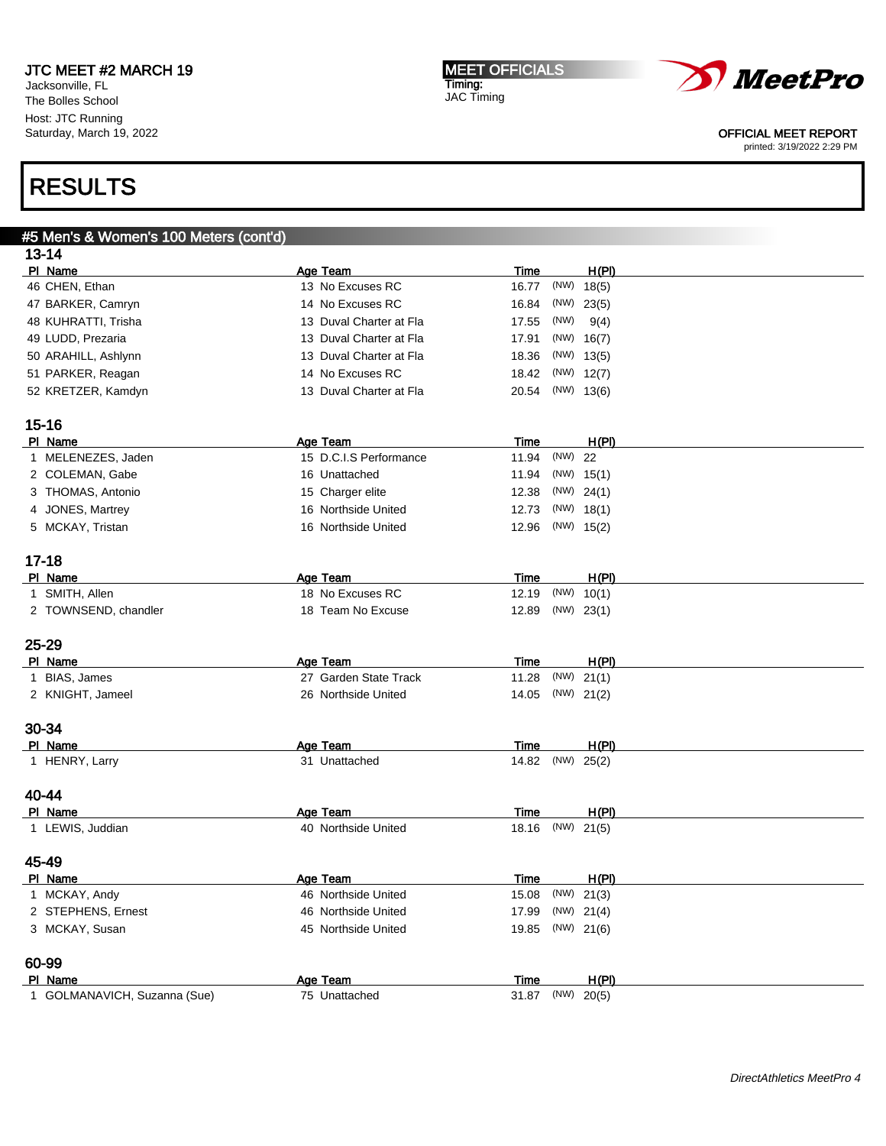Jacksonville, FL The Bolles School Host: JTC Running Saturday, March 19, 2022

#### MEET OFFICIALS Timing: JAC Timing



#### OFFICIAL MEET REPORT

printed: 3/19/2022 2:29 PM

| #5 Men's & Women's 100 Meters (cont'd) |                         |               |              |       |
|----------------------------------------|-------------------------|---------------|--------------|-------|
| $13 - 14$                              |                         |               |              |       |
| PI Name                                | Age Team                | <b>Time</b>   |              | H(PI) |
| 46 CHEN, Ethan                         | 13 No Excuses RC        | 16.77         | $(NW)$ 18(5) |       |
| 47 BARKER, Camryn                      | 14 No Excuses RC        | 16.84         | $(NW)$ 23(5) |       |
| 48 KUHRATTI, Trisha                    | 13 Duval Charter at Fla | 17.55         | (NW)         | 9(4)  |
| 49 LUDD, Prezaria                      | 13 Duval Charter at Fla | 17.91         | $(NW)$ 16(7) |       |
| 50 ARAHILL, Ashlynn                    | 13 Duval Charter at Fla | 18.36         | $(NW)$ 13(5) |       |
| 51 PARKER, Reagan                      | 14 No Excuses RC        | 18.42         | $(NW)$ 12(7) |       |
| 52 KRETZER, Kamdyn                     | 13 Duval Charter at Fla | 20.54         | $(NW)$ 13(6) |       |
|                                        |                         |               |              |       |
| $15 - 16$                              |                         |               |              |       |
| PI Name                                | Age Team                | <b>Time</b>   |              | H(PI) |
| 1 MELENEZES, Jaden                     | 15 D.C.I.S Performance  | 11.94         | (NW) 22      |       |
| 2 COLEMAN, Gabe                        | 16 Unattached           | 11.94         | $(NW)$ 15(1) |       |
| 3 THOMAS, Antonio                      | 15 Charger elite        | 12.38         | (NW) 24(1)   |       |
| 4 JONES, Martrey                       | 16 Northside United     | 12.73         | $(NW)$ 18(1) |       |
| 5 MCKAY, Tristan                       | 16 Northside United     | 12.96         | $(NW)$ 15(2) |       |
|                                        |                         |               |              |       |
| $17 - 18$                              |                         |               |              |       |
| PI Name                                | Age Team                | Time          |              | H(PI) |
| 1 SMITH, Allen                         | 18 No Excuses RC        | 12.19         | (NW)         | 10(1) |
| 2 TOWNSEND, chandler                   | 18 Team No Excuse       | 12.89         | $(NW)$ 23(1) |       |
|                                        |                         |               |              |       |
| 25-29                                  |                         |               |              |       |
| PI Name                                | Age Team                | <u>Time</u>   |              | H(PI) |
| 1 BIAS, James                          | 27 Garden State Track   | 11.28         | (NW)         | 21(1) |
| 2 KNIGHT, Jameel                       | 26 Northside United     | 14.05         | $(NW)$ 21(2) |       |
|                                        |                         |               |              |       |
| 30-34<br>PI Name                       | Age Team                |               |              | H(PI) |
| 1 HENRY, Larry                         | 31 Unattached           | Time<br>14.82 | (NW)         | 25(2) |
|                                        |                         |               |              |       |
| 40-44                                  |                         |               |              |       |
| PI Name                                | Age Team                | Time          |              | H(PI) |
| 1 LEWIS, Juddian                       | 40 Northside United     | 18.16         | $(NW)$ 21(5) |       |
|                                        |                         |               |              |       |
| 45-49                                  |                         |               |              |       |
| <u>PI Name</u>                         | <b>Age Team</b>         | <u>Time</u>   |              | H(PI) |
| 1 MCKAY, Andy                          | 46 Northside United     | 15.08         | (NW)         | 21(3) |
| 2 STEPHENS, Ernest                     | 46 Northside United     | 17.99         | $(NW)$ 21(4) |       |
| 3 MCKAY, Susan                         | 45 Northside United     | 19.85         | $(NW)$ 21(6) |       |
|                                        |                         |               |              |       |
| 60-99                                  |                         |               |              |       |
| PI Name                                | Age Team                | <b>Time</b>   |              | H(PI) |
| 1 GOLMANAVICH, Suzanna (Sue)           | 75 Unattached           | 31.87         | (NW) 20(5)   |       |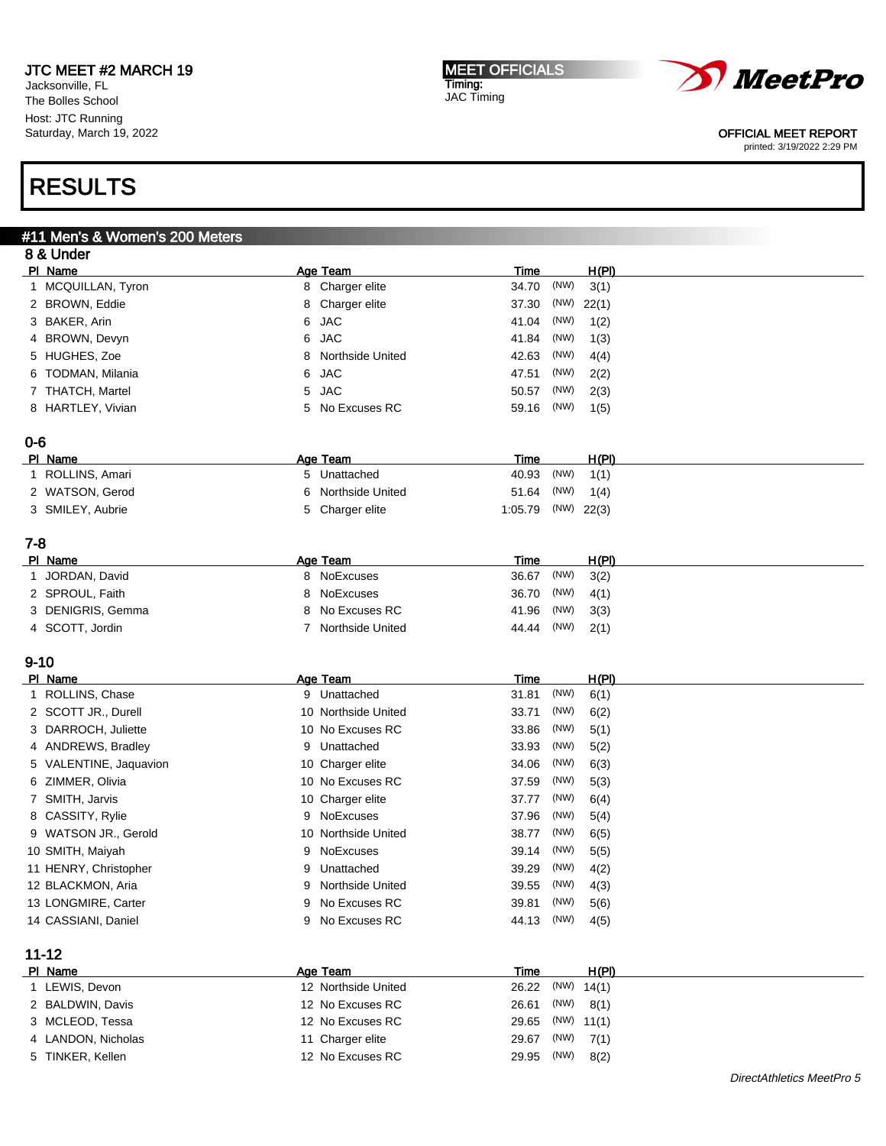Jacksonville, FL The Bolles School Host: JTC Running Saturday, March 19, 2022

# RESULTS

# #11 Men's & Women's 200 Meters

|          | 8 & Under              |                              |             |      |              |  |
|----------|------------------------|------------------------------|-------------|------|--------------|--|
|          | PI Name                | <b>Age Team</b>              | <b>Time</b> |      | H(PI)        |  |
|          | 1 MCQUILLAN, Tyron     | 8 Charger elite              | 34.70       | (NW) | 3(1)         |  |
|          | 2 BROWN, Eddie         | 8<br>Charger elite           | 37.30       | (NW) | 22(1)        |  |
|          | 3 BAKER, Arin          | <b>JAC</b><br>6              | 41.04       | (NW) | 1(2)         |  |
|          | 4 BROWN, Devyn         | <b>JAC</b><br>6              | 41.84       | (NW) | 1(3)         |  |
|          | 5 HUGHES, Zoe          | Northside United<br>8        | 42.63       | (NW) | 4(4)         |  |
|          | 6 TODMAN, Milania      | 6<br><b>JAC</b>              | 47.51       | (NW) | 2(2)         |  |
|          | 7 THATCH, Martel       | <b>JAC</b><br>5              | 50.57       | (NW) | 2(3)         |  |
|          | 8 HARTLEY, Vivian      | 5 No Excuses RC              | 59.16       | (NW) | 1(5)         |  |
| $0 - 6$  |                        |                              |             |      |              |  |
|          | PI Name                | Age Team                     | <b>Time</b> |      | <u>H(PI)</u> |  |
|          | 1 ROLLINS, Amari       | 5 Unattached                 | 40.93       | (NW) | 1(1)         |  |
|          | 2 WATSON, Gerod        | Northside United<br>6        | 51.64       | (NW) | 1(4)         |  |
|          | 3 SMILEY, Aubrie       | Charger elite<br>5           | 1:05.79     | (NW) | 22(3)        |  |
| $7 - 8$  |                        |                              |             |      |              |  |
|          | PI Name                | Age Team                     | Time        |      | H(PI)        |  |
|          | 1 JORDAN, David        | 8 NoExcuses                  | 36.67       | (NW) | 3(2)         |  |
|          | 2 SPROUL, Faith        | NoExcuses<br>8               | 36.70       | (NW) | 4(1)         |  |
|          | 3 DENIGRIS, Gemma      | No Excuses RC<br>8           | 41.96       | (NW) | 3(3)         |  |
|          | 4 SCOTT, Jordin        | Northside United<br>7        | 44.44       | (NW) | 2(1)         |  |
| $9 - 10$ |                        |                              |             |      |              |  |
|          | PI Name                | Age Team                     | <u>Time</u> |      | H(PI)        |  |
|          | 1 ROLLINS, Chase       | 9 Unattached                 | 31.81       | (NW) | 6(1)         |  |
|          | 2 SCOTT JR., Durell    | 10 Northside United          | 33.71       | (NW) | 6(2)         |  |
|          | 3 DARROCH, Juliette    | 10 No Excuses RC             | 33.86       | (NW) | 5(1)         |  |
|          | 4 ANDREWS, Bradley     | 9 Unattached                 | 33.93       | (NW) | 5(2)         |  |
|          | 5 VALENTINE, Jaquavion | 10 Charger elite             | 34.06       | (NW) | 6(3)         |  |
|          | 6 ZIMMER, Olivia       | 10 No Excuses RC             | 37.59       | (NW) | 5(3)         |  |
|          | 7 SMITH, Jarvis        | 10 Charger elite             | 37.77       | (NW) | 6(4)         |  |
|          | 8 CASSITY, Rylie       | 9 NoExcuses                  | 37.96       | (NW) | 5(4)         |  |
|          | 9 WATSON JR., Gerold   | 10 Northside United          | 38.77       | (NW) | 6(5)         |  |
|          | 10 SMITH, Maiyah       | NoExcuses<br>9               | 39.14       | (NW) | 5(5)         |  |
|          | 11 HENRY, Christopher  | Unattached<br>9              | 39.29       | (NW) | 4(2)         |  |
|          | 12 BLACKMON, Aria      | <b>Northside United</b><br>9 | 39.55       | (NW) | 4(3)         |  |
|          | 13 LONGMIRE, Carter    | 9 No Excuses RC              | 39.81       | (NW) | 5(6)         |  |
|          | 14 CASSIANI, Daniel    | 9 No Excuses RC              | 44.13       | (NW) | 4(5)         |  |
|          | $11 - 12$              |                              |             |      |              |  |
|          | PI Name                | Age Team                     | <b>Time</b> |      | H(PI)        |  |
|          | 1 LEWIS, Devon         | 12 Northside United          | 26.22       | (NW) | 14(1)        |  |
|          | 2 BALDWIN, Davis       | 12 No Excuses RC             | 26.61       | (NW) | 8(1)         |  |
|          |                        |                              |             |      |              |  |
|          | 3 MCLEOD, Tessa        | 12 No Excuses RC             | 29.65       |      | $(NW)$ 11(1) |  |

MEET OFFICIALS

Timing: JAC Timing



### OFFICIAL MEET REPORT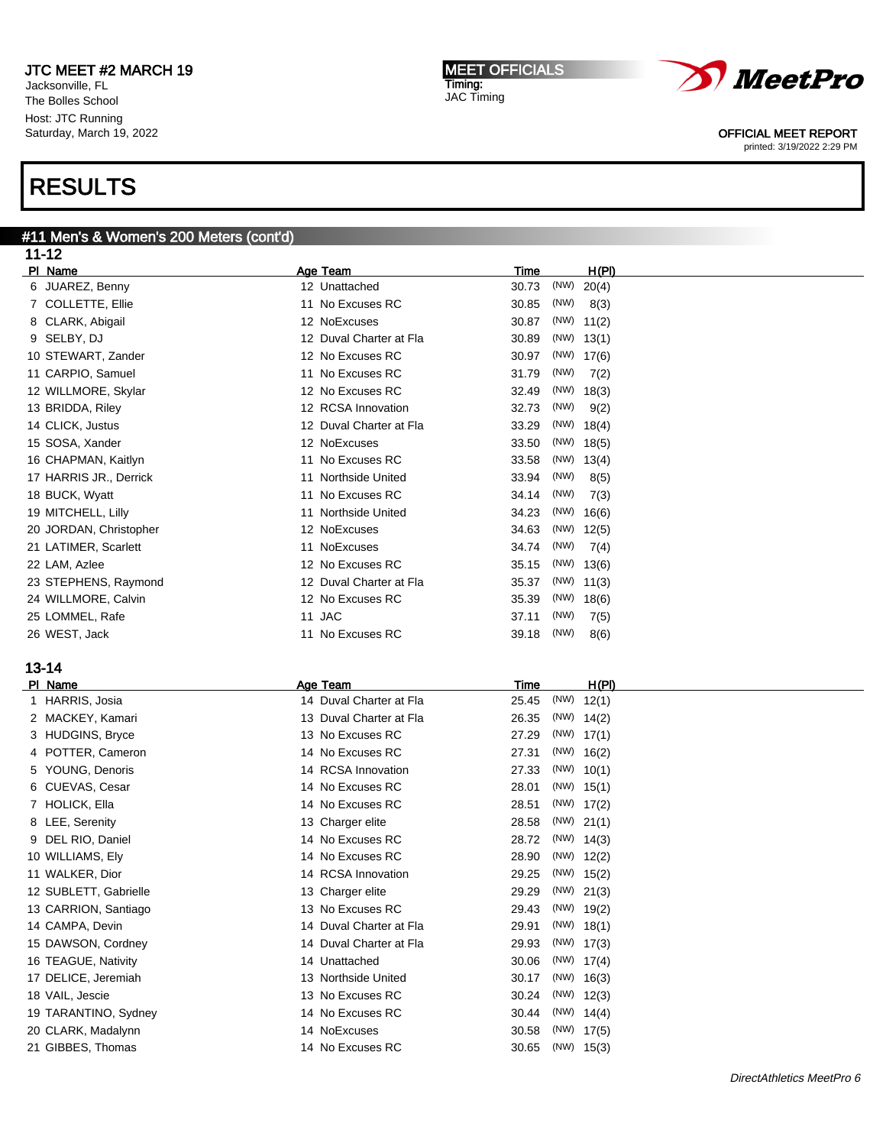Jacksonville, FL The Bolles School Host: JTC Running Saturday, March 19, 2022

# RESULTS

#### #11 Men's & Women's 200 Meters (cont'd) 11-10

| 11-12                  |                         |                        |
|------------------------|-------------------------|------------------------|
| PI Name                | Age Team                | H(PI)<br>Time          |
| 6 JUAREZ, Benny        | 12 Unattached           | (NW)<br>30.73<br>20(4) |
| 7 COLLETTE, Ellie      | 11 No Excuses RC        | 30.85<br>(NW)<br>8(3)  |
| 8 CLARK, Abigail       | 12 NoExcuses            | 30.87<br>$(NW)$ 11(2)  |
| 9 SELBY, DJ            | 12 Duval Charter at Fla | 30.89<br>$(NW)$ 13(1)  |
| 10 STEWART, Zander     | 12 No Excuses RC        | 30.97<br>$(NW)$ 17(6)  |
| 11 CARPIO, Samuel      | 11 No Excuses RC        | 31.79<br>(NW)<br>7(2)  |
| 12 WILLMORE, Skylar    | 12 No Excuses RC        | 32.49<br>(NW)<br>18(3) |
| 13 BRIDDA, Riley       | 12 RCSA Innovation      | 32.73<br>(NW)<br>9(2)  |
| 14 CLICK, Justus       | 12 Duval Charter at Fla | $(NW)$ 18(4)<br>33.29  |
| 15 SOSA, Xander        | 12 NoExcuses            | 33.50<br>$(NW)$ 18(5)  |
| 16 CHAPMAN, Kaitlyn    | 11 No Excuses RC        | $(NW)$ 13(4)<br>33.58  |
| 17 HARRIS JR., Derrick | 11 Northside United     | 33.94<br>(NW)<br>8(5)  |
| 18 BUCK, Wyatt         | 11 No Excuses RC        | 34.14<br>(NW)<br>7(3)  |
| 19 MITCHELL, Lilly     | 11 Northside United     | 34.23<br>(NW)<br>16(6) |
| 20 JORDAN, Christopher | 12 NoExcuses            | 34.63<br>$(NW)$ 12(5)  |
| 21 LATIMER, Scarlett   | 11 NoExcuses            | 34.74<br>(NW)<br>7(4)  |
| 22 LAM, Azlee          | 12 No Excuses RC        | 35.15<br>$(NW)$ 13(6)  |
| 23 STEPHENS, Raymond   | 12 Duval Charter at Fla | 35.37<br>$(NW)$ 11(3)  |
| 24 WILLMORE, Calvin    | 12 No Excuses RC        | 35.39<br>(NW)<br>18(6) |
| 25 LOMMEL, Rafe        | 11 JAC                  | 37.11<br>(NW)<br>7(5)  |
| 26 WEST, Jack          | 11 No Excuses RC        | (NW)<br>39.18<br>8(6)  |
| $13 - 14$              |                         |                        |
| PI Name                | Age Team                | Time<br>H(PI)          |
| 1 HARRIS, Josia        | 14 Duval Charter at Fla | 25.45<br>$(NW)$ 12(1)  |
| 2 MACKEY, Kamari       | 13 Duval Charter at Fla | 26.35<br>$(NW)$ 14(2)  |
| 3 HUDGINS, Bryce       | 13 No Excuses RC        | 27.29<br>$(NW)$ 17(1)  |
| 4 POTTER, Cameron      | 14 No Excuses RC        | 27.31<br>$(NW)$ 16(2)  |
| YOUNG, Denoris<br>5    | 14 RCSA Innovation      | $(NW)$ 10(1)<br>27.33  |
| 6 CUEVAS, Cesar        | 14 No Excuses RC        | 28.01<br>$(NW)$ 15(1)  |
| 7 HOLICK, Ella         | 14 No Excuses RC        | $(NW)$ 17(2)<br>28.51  |
| 8 LEE, Serenity        | 13 Charger elite        | 28.58<br>$(NW)$ 21(1)  |
| 9 DEL RIO, Daniel      | 14 No Excuses RC        | 28.72<br>$(NW)$ 14(3)  |
| 10 WILLIAMS, Ely       | 14 No Excuses RC        | 28.90<br>$(NW)$ 12(2)  |
| 11 WALKER, Dior        | 14 RCSA Innovation      | 29.25<br>$(NW)$ 15(2)  |
| 12 SUBLETT, Gabrielle  | 13 Charger elite        | 29.29<br>(NW) 21(3)    |
| 13 CARRION, Santiago   | 13 No Excuses RC        | 29.43<br>(NW) 19(2)    |
| 14 CAMPA, Devin        | 14 Duval Charter at Fla | 29.91<br>$(NW)$ 18(1)  |



DELICE, Jeremiah 13 Northside United 30.17 (NW) 16(3)

18 VAIL, Jescie 2010 13 No Excuses RC 30.24 (NW) 12(3)

TARANTINO, Sydney 14 No Excuses RC 30.44 (NW) 14(4)

20 CLARK, Madalynn 14 NoExcuses 30.58 (NW) 17(5)

21 GIBBES, Thomas 21 GIBBES, Thomas 21 GIBBES, Thomas 20.65 (NW) 15(3)

MEET OFFICIALS Timing: JAC Timing



OFFICIAL MEET REPORT printed: 3/19/2022 2:29 PM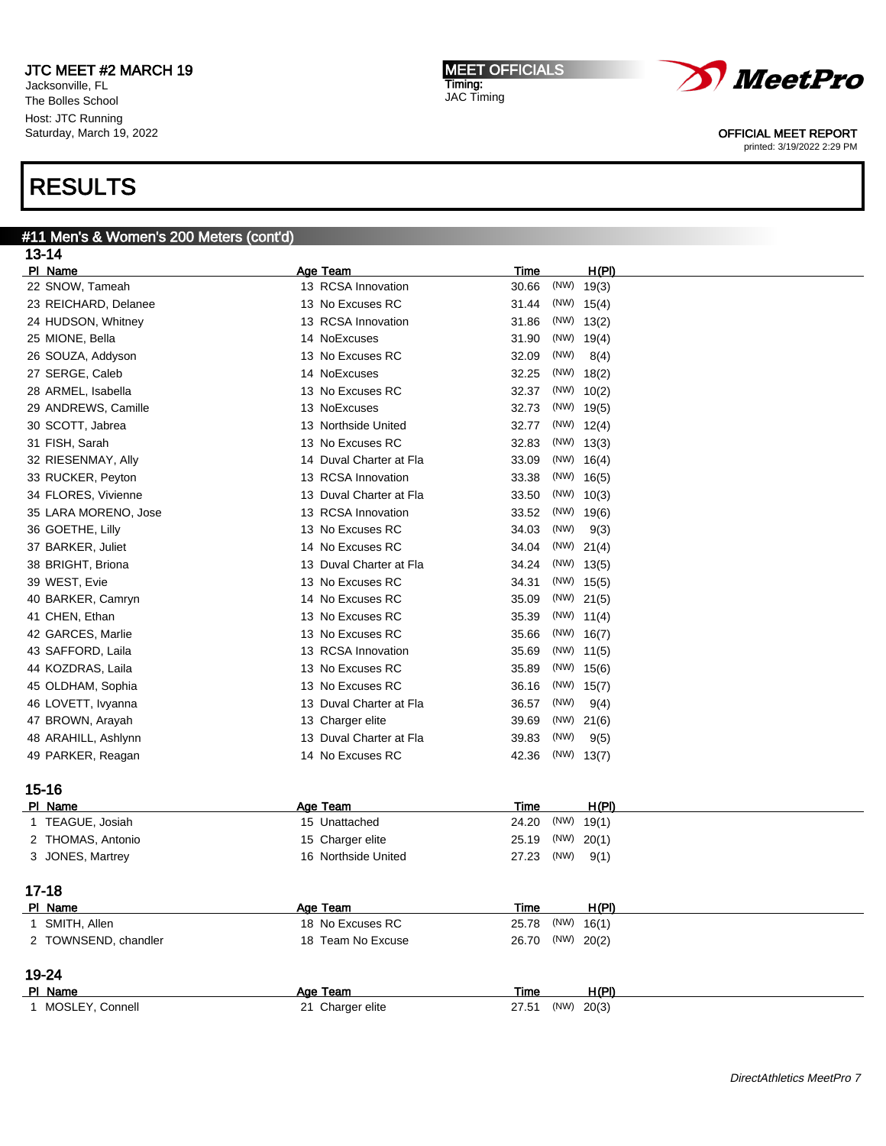Jacksonville, FL The Bolles School Host: JTC Running Saturday, March 19, 2022

# RESULTS

# #11 Men's & Women's 200 Meters (cont'd)

| $13 - 14$                   |                         |                              |                       |
|-----------------------------|-------------------------|------------------------------|-----------------------|
| PI Name                     | Age Team                | Time                         | H(PI)                 |
| 22 SNOW, Tameah             | 13 RCSA Innovation      | 30.66                        | $(NW)$ 19(3)          |
| 23 REICHARD, Delanee        | 13 No Excuses RC        | 31.44                        | $(NW)$ 15(4)          |
| 24 HUDSON, Whitney          | 13 RCSA Innovation      | 31.86                        | $(NW)$ 13(2)          |
| 25 MIONE, Bella             | 14 NoExcuses            | 31.90                        | $(NW)$ 19(4)          |
| 26 SOUZA, Addyson           | 13 No Excuses RC        | (NW)<br>32.09                | 8(4)                  |
| 27 SERGE, Caleb             | 14 NoExcuses            | 32.25<br>(NW)                | 18(2)                 |
| 28 ARMEL, Isabella          | 13 No Excuses RC        | 32.37<br>(NW)                | 10(2)                 |
| 29 ANDREWS, Camille         | 13 NoExcuses            | 32.73                        | $(NW)$ 19(5)          |
| 30 SCOTT, Jabrea            | 13 Northside United     | 32.77                        | $(NW)$ 12(4)          |
| 31 FISH, Sarah              | 13 No Excuses RC        | 32.83                        | $(NW)$ 13(3)          |
| 32 RIESENMAY, Ally          | 14 Duval Charter at Fla | 33.09                        | $(NW)$ 16(4)          |
| 33 RUCKER, Peyton           | 13 RCSA Innovation      | 33.38                        | $(NW)$ 16(5)          |
| 34 FLORES, Vivienne         | 13 Duval Charter at Fla | 33.50                        | $(NW)$ 10(3)          |
| 35 LARA MORENO, Jose        | 13 RCSA Innovation      | 33.52                        | $(NW)$ 19(6)          |
| 36 GOETHE, Lilly            | 13 No Excuses RC        | (NW)<br>34.03                | 9(3)                  |
| 37 BARKER, Juliet           | 14 No Excuses RC        | (NW)<br>34.04                | 21(4)                 |
| 38 BRIGHT, Briona           | 13 Duval Charter at Fla | 34.24                        | $(NW)$ 13(5)          |
| 39 WEST, Evie               | 13 No Excuses RC        | 34.31                        | $(NW)$ 15(5)          |
| 40 BARKER, Camryn           | 14 No Excuses RC        | 35.09                        | $(NW)$ 21(5)          |
| 41 CHEN, Ethan              | 13 No Excuses RC        | 35.39                        | $(NW)$ 11(4)          |
| 42 GARCES, Marlie           | 13 No Excuses RC        | 35.66                        | $(NW)$ 16(7)          |
| 43 SAFFORD, Laila           | 13 RCSA Innovation      | 35.69                        | $(NW)$ 11(5)          |
| 44 KOZDRAS, Laila           | 13 No Excuses RC        | 35.89                        | $(NW)$ 15(6)          |
| 45 OLDHAM, Sophia           | 13 No Excuses RC        | 36.16                        | $(NW)$ 15(7)          |
| 46 LOVETT, Ivyanna          | 13 Duval Charter at Fla | (NW)<br>36.57                | 9(4)                  |
| 47 BROWN, Arayah            | 13 Charger elite        | (NW)<br>39.69                | 21(6)                 |
| 48 ARAHILL, Ashlynn         | 13 Duval Charter at Fla | (NW)<br>39.83                | 9(5)                  |
| 49 PARKER, Reagan           | 14 No Excuses RC        | 42.36                        | $(NW)$ 13(7)          |
|                             |                         |                              |                       |
| $15 - 16$                   | Age Team                |                              |                       |
| PI Name<br>1 TEAGUE, Josiah | 15 Unattached           | <b>Time</b><br>(NW)<br>24.20 | <u>H(PI)</u><br>19(1) |
| 2 THOMAS, Antonio           | 15 Charger elite        | 25.19<br>(NW)                | 20(1)                 |
| 3 JONES, Martrey            | 16 Northside United     | (NW)<br>27.23                | 9(1)                  |
|                             |                         |                              |                       |
| 17-18                       |                         |                              |                       |
| PI Name                     | Age Team                | <b>Time</b>                  | H(PI)                 |
| 1 SMITH, Allen              | 18 No Excuses RC        | 25.78                        | $(NW)$ 16(1)          |
| 2 TOWNSEND, chandler        | 18 Team No Excuse       | 26.70                        | (NW) 20(2)            |
| 19-24                       |                         |                              |                       |
| PI Name                     | Age Team                | <b>Time</b>                  | H(PI)                 |
| 1 MOSLEY, Connell           | 21 Charger elite        | 27.51                        | $(NW)$ 20(3)          |



OFFICIAL MEET REPORT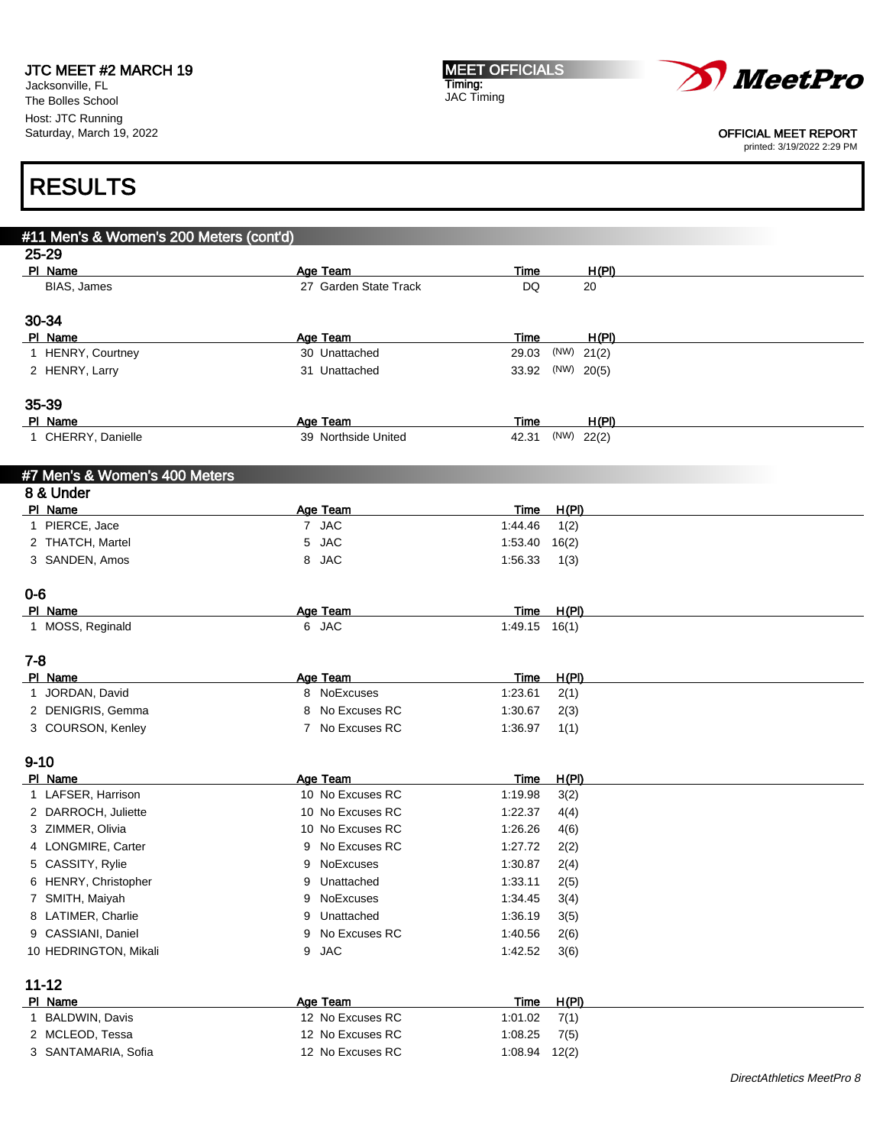Jacksonville, FL The Bolles School Host: JTC Running Saturday, March 19, 2022 MEET OFFICIALS Timing: JAC Timing



#### OFFICIAL MEET REPORT

printed: 3/19/2022 2:29 PM

|                               | #11 Men's & Women's 200 Meters (cont'd) |                       |                                |               |  |
|-------------------------------|-----------------------------------------|-----------------------|--------------------------------|---------------|--|
| 25-29                         |                                         |                       |                                |               |  |
| PI Name                       |                                         | Age Team              | Time                           | H(PI)         |  |
| BIAS, James                   |                                         | 27 Garden State Track | DQ                             | 20            |  |
| 30-34                         |                                         |                       |                                |               |  |
| PI Name                       |                                         | Age Team              | Time                           | <u>H(PI)</u>  |  |
| 1 HENRY, Courtney             |                                         | 30 Unattached         | 29.03                          | (NW)<br>21(2) |  |
| 2 HENRY, Larry                |                                         | 31 Unattached         | 33.92                          | $(NW)$ 20(5)  |  |
|                               |                                         |                       |                                |               |  |
| 35-39                         |                                         |                       |                                |               |  |
| PI Name                       |                                         | Age Team              | Time                           | H(PI)         |  |
| 1 CHERRY, Danielle            |                                         | 39 Northside United   | 42.31                          | (NW) 22(2)    |  |
| #7 Men's & Women's 400 Meters |                                         |                       |                                |               |  |
| 8 & Under                     |                                         |                       |                                |               |  |
| PI Name                       |                                         | Age Team              | Time                           | H(PI)         |  |
| 1 PIERCE, Jace                |                                         | 7 JAC                 | 1:44.46                        | 1(2)          |  |
| 2 THATCH, Martel              |                                         | 5 JAC                 | 1:53.40                        | 16(2)         |  |
| 3 SANDEN, Amos                |                                         | 8 JAC                 | 1:56.33                        | 1(3)          |  |
|                               |                                         |                       |                                |               |  |
| 0-6                           |                                         |                       |                                |               |  |
| PI Name<br>1 MOSS, Reginald   |                                         | Age Team<br>6 JAC     | <u>Time</u><br>$1:49.15$ 16(1) | H(PI)         |  |
|                               |                                         |                       |                                |               |  |
| $7 - 8$                       |                                         |                       |                                |               |  |
| PI Name                       |                                         | Age Team              | Time                           | H(PI)         |  |
| 1 JORDAN, David               |                                         | 8 NoExcuses           | 1:23.61                        | 2(1)          |  |
| 2 DENIGRIS, Gemma             |                                         | 8 No Excuses RC       | 1:30.67                        | 2(3)          |  |
| 3 COURSON, Kenley             |                                         | 7 No Excuses RC       | 1:36.97                        | 1(1)          |  |
| $9 - 10$                      |                                         |                       |                                |               |  |
| PI Name                       |                                         | Age Team              | Time                           | H(PI)         |  |
| 1 LAFSER, Harrison            |                                         | 10 No Excuses RC      | 1:19.98                        | 3(2)          |  |
| 2 DARROCH, Juliette           |                                         | 10 No Excuses RC      | 1:22.37                        | 4(4)          |  |
| 3 ZIMMER, Olivia              |                                         | 10 No Excuses RC      | 1:26.26                        | 4(6)          |  |
| 4 LONGMIRE, Carter            |                                         | 9 No Excuses RC       | 1:27.72                        | 2(2)          |  |
| 5 CASSITY, Rylie              |                                         | 9 NoExcuses           | 1:30.87                        | 2(4)          |  |
| 6 HENRY, Christopher          |                                         | 9 Unattached          | 1:33.11                        | 2(5)          |  |
| 7 SMITH, Maiyah               | 9                                       | NoExcuses             | 1:34.45                        | 3(4)          |  |
| 8 LATIMER, Charlie            | 9                                       | Unattached            | 1:36.19                        | 3(5)          |  |
| 9 CASSIANI, Daniel            | 9                                       | No Excuses RC         | 1:40.56                        | 2(6)          |  |
| 10 HEDRINGTON, Mikali         |                                         | 9 JAC                 | 1:42.52                        | 3(6)          |  |
|                               |                                         |                       |                                |               |  |
| $11 - 12$                     |                                         |                       |                                |               |  |
| PI Name                       |                                         | Age Team              | <u>Time</u>                    | H(PI)         |  |
| 1 BALDWIN, Davis              |                                         | 12 No Excuses RC      | 1:01.02                        | 7(1)          |  |
| 2 MCLEOD, Tessa               |                                         | 12 No Excuses RC      | 1:08.25                        | 7(5)          |  |
| 3 SANTAMARIA, Sofia           |                                         | 12 No Excuses RC      | $1:08.94$ $12(2)$              |               |  |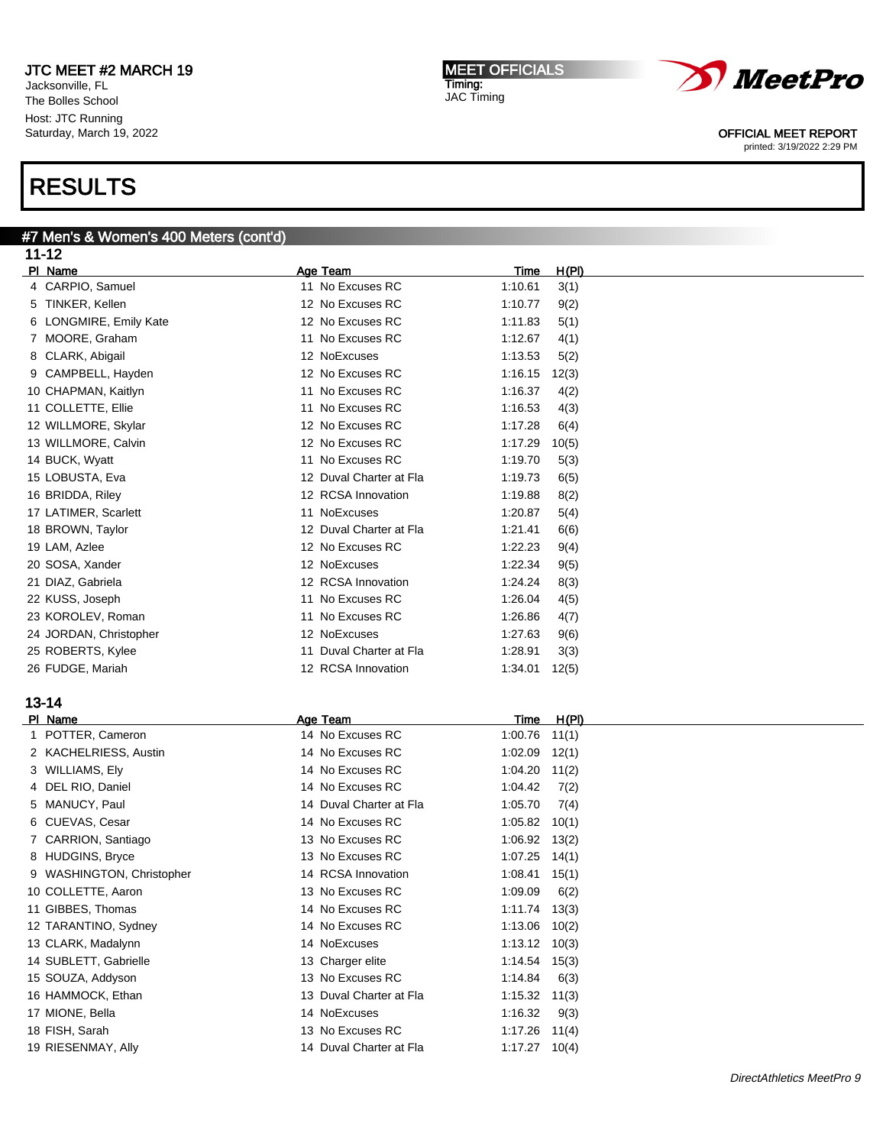Jacksonville, FL The Bolles School Host: JTC Running Saturday, March 19, 2022

# RESULTS

#### #7 Men's & Women's 400 Meters (cont'd)  $11-12$

| 11-14                      |                         |         |       |
|----------------------------|-------------------------|---------|-------|
| PI Name                    | Age Team                | Time    | H(PI) |
| 4 CARPIO, Samuel           | 11 No Excuses RC        | 1:10.61 | 3(1)  |
| TINKER, Kellen<br>5        | 12 No Excuses RC        | 1:10.77 | 9(2)  |
| LONGMIRE, Emily Kate<br>6. | 12 No Excuses RC        | 1:11.83 | 5(1)  |
| MOORE, Graham<br>7         | 11 No Excuses RC        | 1:12.67 | 4(1)  |
| CLARK, Abigail<br>8        | 12 NoExcuses            | 1:13.53 | 5(2)  |
| CAMPBELL, Hayden<br>9      | 12 No Excuses RC        | 1:16.15 | 12(3) |
| 10 CHAPMAN, Kaitlyn        | 11 No Excuses RC        | 1:16.37 | 4(2)  |
| 11 COLLETTE, Ellie         | 11 No Excuses RC        | 1:16.53 | 4(3)  |
| 12 WILLMORE, Skylar        | 12 No Excuses RC        | 1:17.28 | 6(4)  |
| 13 WILLMORE, Calvin        | 12 No Excuses RC        | 1:17.29 | 10(5) |
| 14 BUCK, Wyatt             | 11 No Excuses RC        | 1:19.70 | 5(3)  |
| 15 LOBUSTA, Eva            | 12 Duval Charter at Fla | 1:19.73 | 6(5)  |
| 16 BRIDDA, Riley           | 12 RCSA Innovation      | 1:19.88 | 8(2)  |
| 17 LATIMER, Scarlett       | 11 NoExcuses            | 1:20.87 | 5(4)  |
| 18 BROWN, Taylor           | 12 Duval Charter at Fla | 1:21.41 | 6(6)  |
| 19 LAM, Azlee              | 12 No Excuses RC        | 1:22.23 | 9(4)  |
| 20 SOSA, Xander            | 12 NoExcuses            | 1:22.34 | 9(5)  |
| 21 DIAZ, Gabriela          | 12 RCSA Innovation      | 1:24.24 | 8(3)  |
| 22 KUSS, Joseph            | 11 No Excuses RC        | 1:26.04 | 4(5)  |
| 23 KOROLEV, Roman          | 11 No Excuses RC        | 1:26.86 | 4(7)  |
| 24 JORDAN, Christopher     | 12 NoExcuses            | 1:27.63 | 9(6)  |
| 25 ROBERTS, Kylee          | 11 Duval Charter at Fla | 1:28.91 | 3(3)  |
| 26 FUDGE, Mariah           | 12 RCSA Innovation      | 1:34.01 | 12(5) |
|                            |                         |         |       |
|                            |                         |         |       |

MEET OFFICIALS

Timing: JAC Timing

# 13-14

| PI Name                   | <u>Age Team</u>         | Time    | H(PI) |
|---------------------------|-------------------------|---------|-------|
| POTTER, Cameron           | 14 No Excuses RC        | 1:00.76 | 11(1) |
| 2 KACHELRIESS, Austin     | 14 No Excuses RC        | 1:02.09 | 12(1) |
| 3 WILLIAMS, Ely           | 14 No Excuses RC        | 1:04.20 | 11(2) |
| 4 DEL RIO, Daniel         | 14 No Excuses RC        | 1:04.42 | 7(2)  |
| 5 MANUCY, Paul            | 14 Duval Charter at Fla | 1:05.70 | 7(4)  |
| 6 CUEVAS, Cesar           | 14 No Excuses RC        | 1:05.82 | 10(1) |
| 7 CARRION, Santiago       | 13 No Excuses RC        | 1:06.92 | 13(2) |
| 8 HUDGINS, Bryce          | 13 No Excuses RC        | 1:07.25 | 14(1) |
| 9 WASHINGTON, Christopher | 14 RCSA Innovation      | 1:08.41 | 15(1) |
| 10 COLLETTE, Aaron        | 13 No Excuses RC        | 1:09.09 | 6(2)  |
| 11 GIBBES, Thomas         | 14 No Excuses RC        | 1:11.74 | 13(3) |
| 12 TARANTINO, Sydney      | 14 No Excuses RC        | 1:13.06 | 10(2) |
| 13 CLARK, Madalynn        | 14 NoExcuses            | 1:13.12 | 10(3) |
| 14 SUBLETT, Gabrielle     | 13 Charger elite        | 1:14.54 | 15(3) |
| 15 SOUZA, Addyson         | 13 No Excuses RC        | 1:14.84 | 6(3)  |
| 16 HAMMOCK, Ethan         | 13 Duval Charter at Fla | 1:15.32 | 11(3) |
| 17 MIONE, Bella           | 14 NoExcuses            | 1:16.32 | 9(3)  |
| 18 FISH, Sarah            | 13 No Excuses RC        | 1:17.26 | 11(4) |
| 19 RIESENMAY, Ally        | 14 Duval Charter at Fla | 1:17.27 | 10(4) |
|                           |                         |         |       |



### OFFICIAL MEET REPORT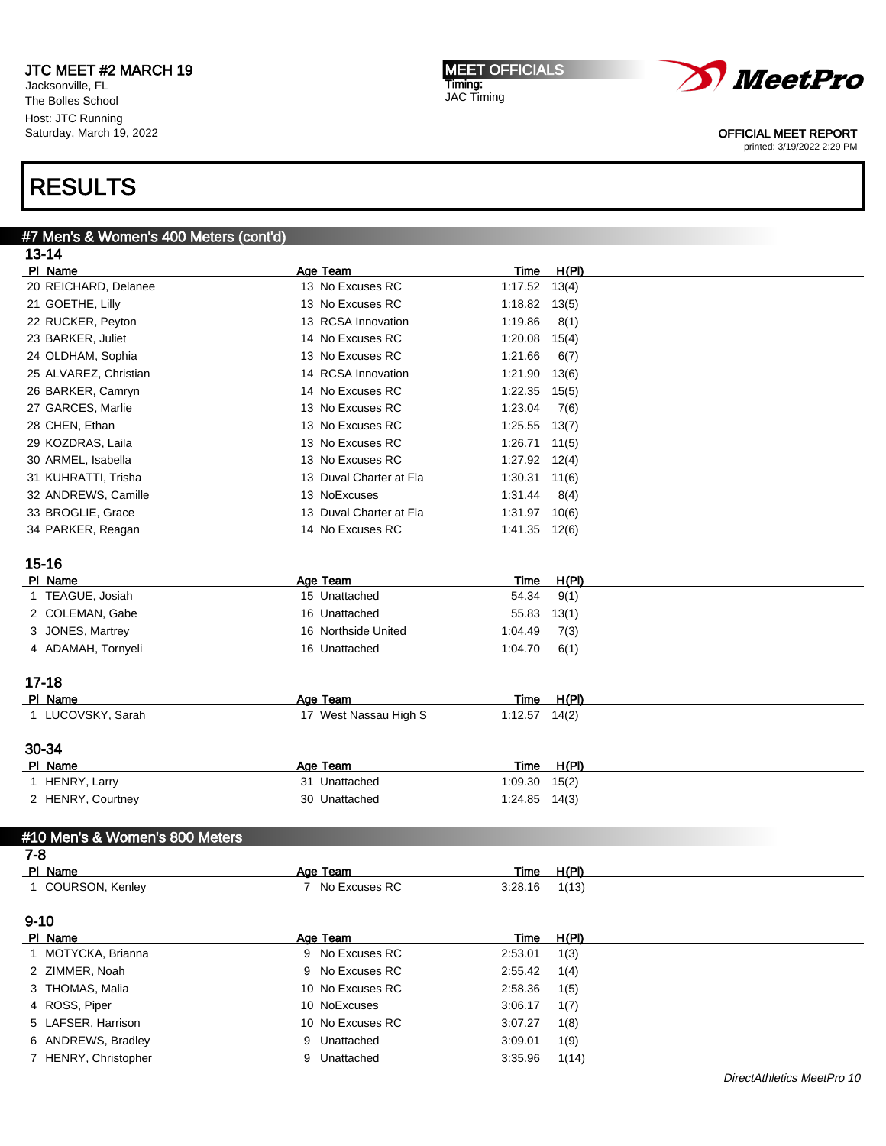#7 Men's & Women's 400 Meters (cont'd)

Jacksonville, FL The Bolles School Host: JTC Running Saturday, March 19, 2022

# RESULTS

| $13 - 14$                      |                           |                        |                |
|--------------------------------|---------------------------|------------------------|----------------|
| PI Name                        | Age Team                  | <u>Time</u>            | H(PI)          |
| 20 REICHARD, Delanee           | 13 No Excuses RC          | $1:17.52$ $13(4)$      |                |
| 21 GOETHE, Lilly               | 13 No Excuses RC          | $1:18.82$ $13(5)$      |                |
| 22 RUCKER, Peyton              | 13 RCSA Innovation        | 1:19.86                | 8(1)           |
| 23 BARKER, Juliet              | 14 No Excuses RC          | 1:20.08                | 15(4)          |
| 24 OLDHAM, Sophia              | 13 No Excuses RC          | 1:21.66                | 6(7)           |
| 25 ALVAREZ, Christian          | 14 RCSA Innovation        | 1:21.90                | 13(6)          |
| 26 BARKER, Camryn              | 14 No Excuses RC          | 1:22.35                | 15(5)          |
| 27 GARCES, Marlie              | 13 No Excuses RC          | 1:23.04                | 7(6)           |
| 28 CHEN, Ethan                 | 13 No Excuses RC          | 1:25.55                | 13(7)          |
| 29 KOZDRAS, Laila              | 13 No Excuses RC          | $1:26.71$ $11(5)$      |                |
| 30 ARMEL, Isabella             | 13 No Excuses RC          | $1:27.92$ $12(4)$      |                |
| 31 KUHRATTI, Trisha            | 13 Duval Charter at Fla   | $1:30.31$ $11(6)$      |                |
| 32 ANDREWS, Camille            | 13 NoExcuses              | 1:31.44                | 8(4)           |
| 33 BROGLIE, Grace              | 13 Duval Charter at Fla   | $1:31.97$ $10(6)$      |                |
| 34 PARKER, Reagan              | 14 No Excuses RC          | $1:41.35$ $12(6)$      |                |
|                                |                           |                        |                |
| $15 - 16$                      |                           |                        |                |
| PI Name                        | Age Team                  | <b>Time</b>            | H(PI)          |
| 1 TEAGUE, Josiah               | 15 Unattached             | 54.34                  | 9(1)           |
| 2 COLEMAN, Gabe                | 16 Unattached             | 55.83                  | 13(1)          |
| 3 JONES, Martrey               | 16 Northside United       | 1:04.49                | 7(3)           |
| 4 ADAMAH, Tornyeli             | 16 Unattached             | 1:04.70                | 6(1)           |
|                                |                           |                        |                |
| $17 - 18$                      |                           |                        |                |
| PI Name                        | Age Team                  | Time                   | H(PI)          |
| 1 LUCOVSKY, Sarah              | 17 West Nassau High S     | $1:12.57$ $14(2)$      |                |
|                                |                           |                        |                |
| 30-34                          |                           |                        |                |
| PI Name<br>1 HENRY, Larry      | Age Team<br>31 Unattached | <u>Time</u><br>1:09.30 | H(PI)<br>15(2) |
| 2 HENRY, Courtney              | 30 Unattached             | $1:24.85$ $14(3)$      |                |
|                                |                           |                        |                |
| #10 Men's & Women's 800 Meters |                           |                        |                |
| 7-8                            |                           |                        |                |
| PI Name                        | Age Team                  | Time                   | <u>H(PI)</u>   |
| 1 COURSON, Kenley              | 7 No Excuses RC           | 3:28.16                | 1(13)          |
|                                |                           |                        |                |
| $9 - 10$                       |                           |                        |                |
| PI Name                        | Age Team                  | Time                   | H(PI)          |
| 1 MOTYCKA, Brianna             | 9 No Excuses RC           | 2:53.01                | 1(3)           |
| 2 ZIMMER, Noah                 | 9 No Excuses RC           | 2:55.42                | 1(4)           |
| 3 THOMAS, Malia                | 10 No Excuses RC          | 2:58.36                | 1(5)           |
| 4 ROSS, Piper                  | 10 NoExcuses              | 3:06.17                | 1(7)           |
| 5 LAFSER, Harrison             | 10 No Excuses RC          | 3:07.27                | 1(8)           |
| 6 ANDREWS, Bradley             | 9 Unattached              | 3:09.01                | 1(9)           |

7 HENRY, Christopher 9 Unattached 3:35.96 1(14)

MEET OFFICIALS Timing: JAC Timing



#### OFFICIAL MEET REPORT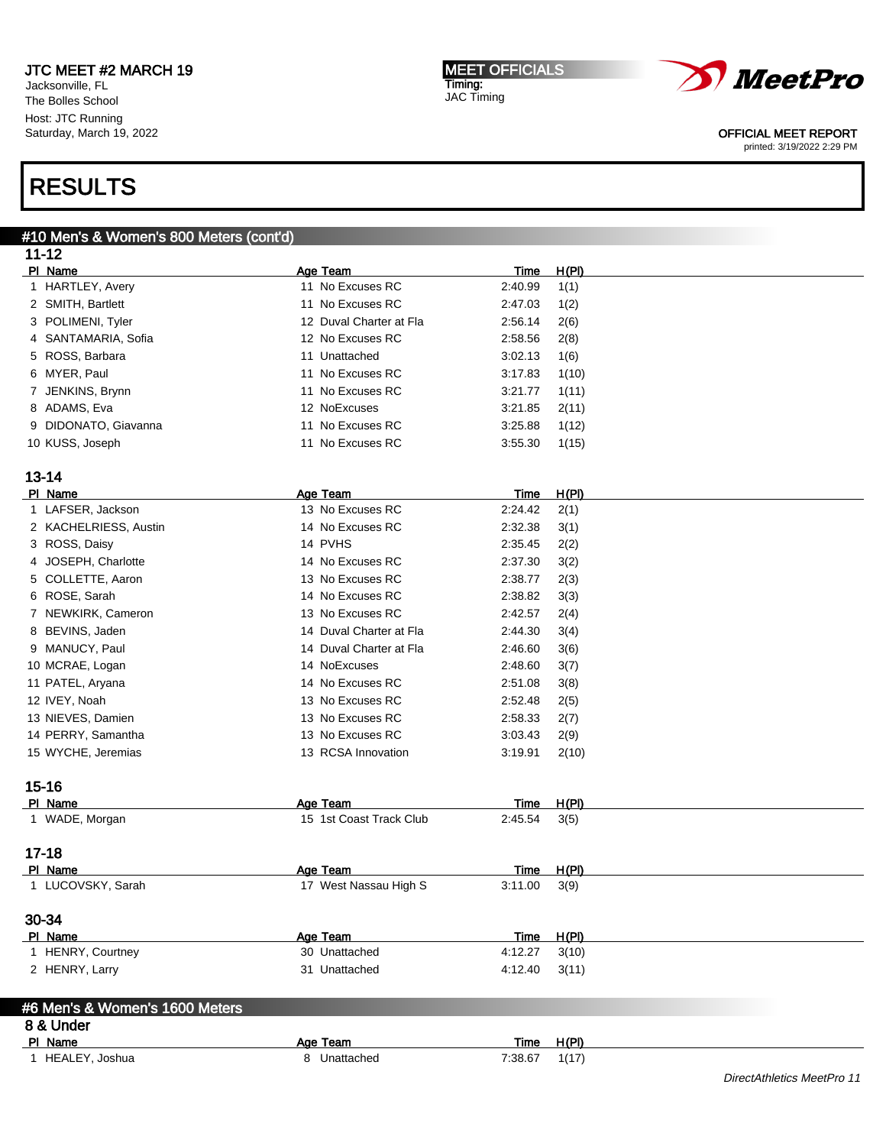Jacksonville, FL The Bolles School Host: JTC Running Saturday, March 19, 2022

#### MEET OFFICIALS Timing: JAC Timing



#### OFFICIAL MEET REPORT

printed: 3/19/2022 2:29 PM

# RESULTS

#### #10 Men's & Women's 800 Meters (cont'd)  $11-12$

| 11-14                          |                                     |             |              |  |
|--------------------------------|-------------------------------------|-------------|--------------|--|
| PI Name                        | Age Team                            | Time        | H(PI)        |  |
| 1 HARTLEY, Avery               | 11 No Excuses RC                    | 2:40.99     | 1(1)         |  |
| 2 SMITH, Bartlett              | 11 No Excuses RC                    | 2:47.03     | 1(2)         |  |
| 3 POLIMENI, Tyler              | 12 Duval Charter at Fla             | 2:56.14     | 2(6)         |  |
| 4 SANTAMARIA, Sofia            | 12 No Excuses RC                    | 2:58.56     | 2(8)         |  |
| 5 ROSS, Barbara                | 11 Unattached                       | 3:02.13     | 1(6)         |  |
| 6 MYER, Paul                   | 11 No Excuses RC                    | 3:17.83     | 1(10)        |  |
| 7 JENKINS, Brynn               | 11 No Excuses RC                    | 3:21.77     | 1(11)        |  |
| 8 ADAMS, Eva                   | 12 NoExcuses                        | 3:21.85     | 2(11)        |  |
| 9 DIDONATO, Giavanna           | 11 No Excuses RC                    | 3:25.88     | 1(12)        |  |
|                                | 11 No Excuses RC                    | 3:55.30     |              |  |
| 10 KUSS, Joseph                |                                     |             | 1(15)        |  |
|                                |                                     |             |              |  |
| $13 - 14$                      |                                     |             |              |  |
| PI Name                        | Age Team                            | <b>Time</b> | H(PI)        |  |
| 1 LAFSER, Jackson              | 13 No Excuses RC                    | 2:24.42     | 2(1)         |  |
| 2 KACHELRIESS, Austin          | 14 No Excuses RC                    | 2:32.38     | 3(1)         |  |
| 3 ROSS, Daisy                  | 14 PVHS                             | 2:35.45     | 2(2)         |  |
| 4 JOSEPH, Charlotte            | 14 No Excuses RC                    | 2:37.30     | 3(2)         |  |
| 5 COLLETTE, Aaron              | 13 No Excuses RC                    | 2:38.77     | 2(3)         |  |
| 6 ROSE, Sarah                  | 14 No Excuses RC                    | 2:38.82     | 3(3)         |  |
| 7 NEWKIRK, Cameron             | 13 No Excuses RC                    | 2:42.57     | 2(4)         |  |
| 8 BEVINS, Jaden                | 14 Duval Charter at Fla             | 2:44.30     | 3(4)         |  |
| 9 MANUCY, Paul                 | 14 Duval Charter at Fla             | 2:46.60     | 3(6)         |  |
| 10 MCRAE, Logan                | 14 NoExcuses                        | 2:48.60     | 3(7)         |  |
| 11 PATEL, Aryana               | 14 No Excuses RC                    | 2:51.08     | 3(8)         |  |
| 12 IVEY, Noah                  | 13 No Excuses RC                    | 2:52.48     | 2(5)         |  |
| 13 NIEVES, Damien              | 13 No Excuses RC                    | 2:58.33     | 2(7)         |  |
| 14 PERRY, Samantha             | 13 No Excuses RC                    | 3:03.43     | 2(9)         |  |
| 15 WYCHE, Jeremias             | 13 RCSA Innovation                  | 3:19.91     |              |  |
|                                |                                     |             | 2(10)        |  |
| $15 - 16$                      |                                     |             |              |  |
|                                |                                     |             |              |  |
| PI Name                        | Age Team<br>15 1st Coast Track Club | Time        | <u>H(PI)</u> |  |
| 1 WADE, Morgan                 |                                     | 2:45.54     | 3(5)         |  |
|                                |                                     |             |              |  |
| $17 - 18$                      |                                     |             |              |  |
| PI Name                        | Age Team                            | <u>Time</u> | H(PI)        |  |
| 1 LUCOVSKY, Sarah              | 17 West Nassau High S               | 3:11.00     | 3(9)         |  |
|                                |                                     |             |              |  |
| 30-34                          |                                     |             |              |  |
| PI Name                        | Age Team                            | Time        | H(PI)        |  |
| 1 HENRY, Courtney              | 30 Unattached                       | 4:12.27     | 3(10)        |  |
| 2 HENRY, Larry                 | 31 Unattached                       | 4:12.40     | 3(11)        |  |
|                                |                                     |             |              |  |
| #6 Men's & Women's 1600 Meters |                                     |             |              |  |
| 8 & Under                      |                                     |             |              |  |
| PI Name                        | Age Team                            | Time        | H(PI)        |  |
| 1 HEALEY, Joshua               | 8 Unattached                        | 7:38.67     | 1(17)        |  |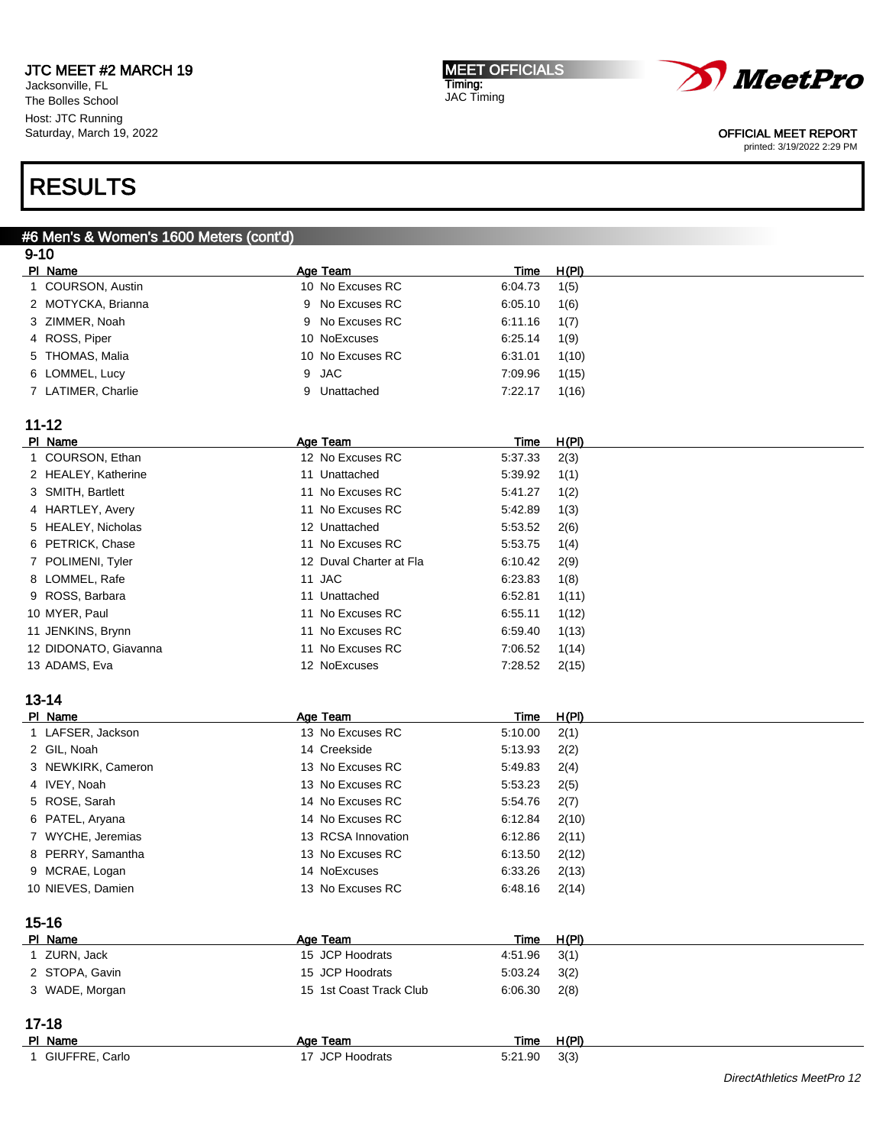Jacksonville, FL The Bolles School Host: JTC Running Saturday, March 19, 2022

#### MEET OFFICIALS Timing: JAC Timing



### OFFICIAL MEET REPORT

printed: 3/19/2022 2:29 PM

# RESULTS

#### #6 Men's & Women's 1600 Meters (cont'd)  $9 - 10$

|   | טו־כ                        |                             |             |               |
|---|-----------------------------|-----------------------------|-------------|---------------|
|   | PI Name                     | Age Team                    | <u>Time</u> | <u>H(PI)</u>  |
|   | 1 COURSON, Austin           | 10 No Excuses RC            | 6:04.73     | 1(5)          |
|   | 2 MOTYCKA, Brianna          | 9 No Excuses RC             | 6:05.10     | 1(6)          |
|   | 3 ZIMMER, Noah              | No Excuses RC<br>9          | 6:11.16     | 1(7)          |
| 4 | ROSS, Piper                 | 10 NoExcuses                | 6:25.14     | 1(9)          |
| 5 | THOMAS, Malia               | 10 No Excuses RC            | 6:31.01     | 1(10)         |
| 6 | LOMMEL, Lucy                | <b>JAC</b><br>9             | 7:09.96     | 1(15)         |
|   | 7 LATIMER, Charlie          | 9 Unattached                | 7:22.17     | 1(16)         |
|   |                             |                             |             |               |
|   | $11 - 12$                   |                             |             |               |
|   | PI Name                     | Age Team                    | <u>Time</u> | H(PI)         |
|   | 1 COURSON, Ethan            | 12 No Excuses RC            | 5:37.33     | 2(3)          |
|   | 2 HEALEY, Katherine         | 11 Unattached               | 5:39.92     | 1(1)          |
|   | 3 SMITH, Bartlett           | 11 No Excuses RC            | 5:41.27     | 1(2)          |
|   | 4 HARTLEY, Avery            | 11 No Excuses RC            | 5:42.89     | 1(3)          |
|   | 5 HEALEY, Nicholas          | 12 Unattached               | 5:53.52     | 2(6)          |
|   | 6 PETRICK, Chase            | 11 No Excuses RC            | 5:53.75     | 1(4)          |
|   | 7 POLIMENI, Tyler           | 12 Duval Charter at Fla     | 6:10.42     | 2(9)          |
|   | 8 LOMMEL, Rafe              | 11 JAC                      | 6:23.83     | 1(8)          |
|   | 9 ROSS, Barbara             | 11 Unattached               | 6:52.81     | 1(11)         |
|   | 10 MYER, Paul               | 11 No Excuses RC            | 6:55.11     | 1(12)         |
|   | 11 JENKINS, Brynn           | 11 No Excuses RC            | 6:59.40     | 1(13)         |
|   | 12 DIDONATO, Giavanna       | 11 No Excuses RC            | 7:06.52     |               |
|   | 13 ADAMS, Eva               | 12 NoExcuses                | 7:28.52     | 1(14)         |
|   |                             |                             |             | 2(15)         |
|   | $13 - 14$                   |                             |             |               |
|   | PI Name                     | <b>Age Team</b>             | <u>Time</u> | H(PI)         |
|   | 1 LAFSER, Jackson           | 13 No Excuses RC            | 5:10.00     | 2(1)          |
|   | 2 GIL, Noah                 | 14 Creekside                | 5:13.93     | 2(2)          |
|   | 3 NEWKIRK, Cameron          | 13 No Excuses RC            | 5:49.83     |               |
|   | 4 IVEY, Noah                | 13 No Excuses RC            | 5:53.23     | 2(4)          |
|   | ROSE, Sarah                 | 14 No Excuses RC            | 5:54.76     | 2(5)          |
| 5 |                             |                             |             | 2(7)          |
| 6 | PATEL, Aryana               | 14 No Excuses RC            | 6:12.84     | 2(10)         |
|   | 7 WYCHE, Jeremias           | 13 RCSA Innovation          | 6:12.86     | 2(11)         |
| 8 | PERRY, Samantha             | 13 No Excuses RC            | 6:13.50     | 2(12)         |
|   | 9 MCRAE, Logan              | 14 NoExcuses                | 6:33.26     | 2(13)         |
|   | 10 NIEVES, Damien           | 13 No Excuses RC            | 6:48.16     | 2(14)         |
|   |                             |                             |             |               |
|   | $15 - 16$                   |                             |             |               |
|   | PI Name                     | Age Team<br>15 JCP Hoodrats | <b>Time</b> | H(PI)         |
|   | 1 ZURN, Jack                |                             | 4:51.96     | 3(1)          |
|   | 2 STOPA, Gavin              | 15 JCP Hoodrats             | 5:03.24     | 3(2)          |
|   | 3 WADE, Morgan              | 15 1st Coast Track Club     | 6:06.30     | 2(8)          |
|   |                             |                             |             |               |
|   | $17 - 18$                   |                             |             |               |
|   | PI Name<br>1 GIUFFRE, Carlo | Age Team<br>17 JCP Hoodrats | Time        | H(PI)<br>3(3) |
|   |                             |                             | 5:21.90     |               |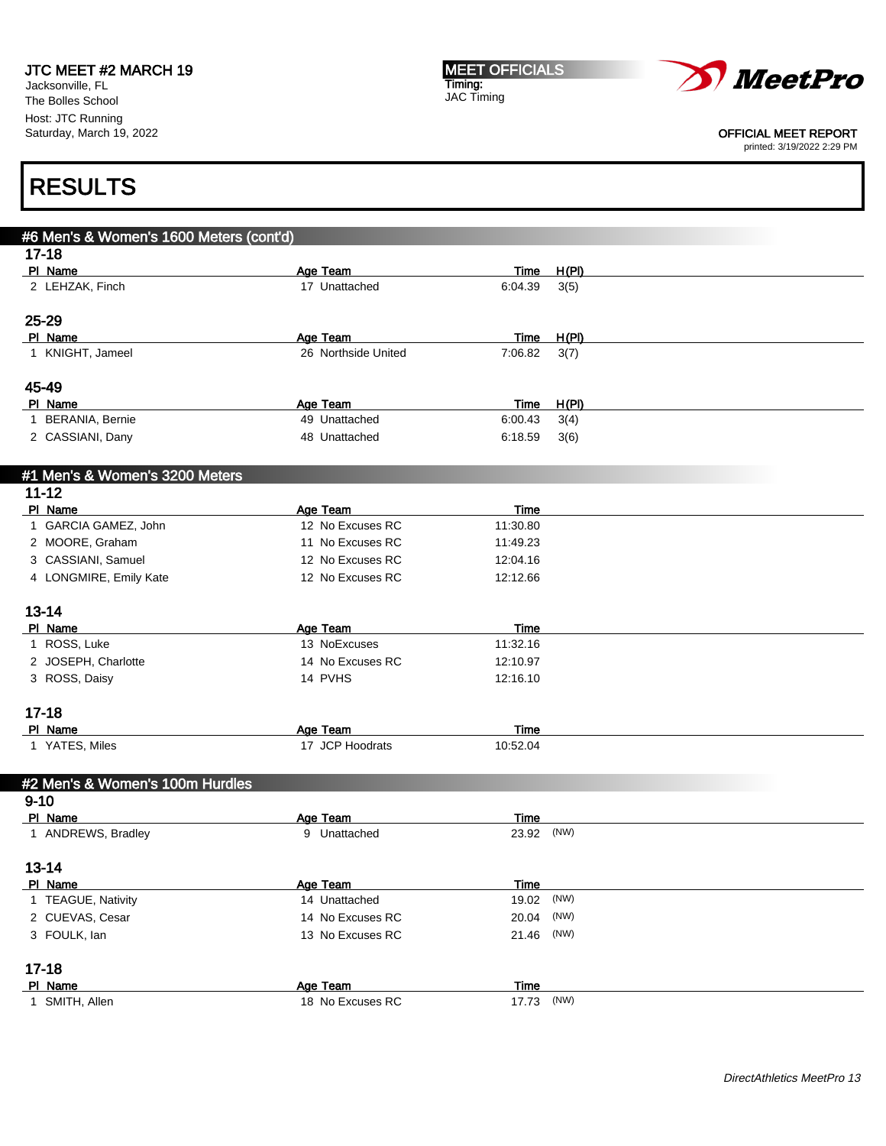Jacksonville, FL The Bolles School Host: JTC Running Saturday, March 19, 2022 MEET OFFICIALS Timing: JAC Timing



#### OFFICIAL MEET REPORT

printed: 3/19/2022 2:29 PM

| #6 Men's & Women's 1600 Meters (cont'd) |                                  |                      |              |  |
|-----------------------------------------|----------------------------------|----------------------|--------------|--|
| $17 - 18$                               |                                  |                      |              |  |
| PI Name                                 | Age Team                         | Time                 | H(PI)        |  |
| 2 LEHZAK, Finch                         | 17 Unattached                    | 6:04.39              | 3(5)         |  |
|                                         |                                  |                      |              |  |
| 25-29                                   |                                  |                      |              |  |
| PI Name                                 | Age Team                         | <b>Time</b>          | H(PI)        |  |
| 1 KNIGHT, Jameel                        | 26 Northside United              | 7:06.82              | 3(7)         |  |
|                                         |                                  |                      |              |  |
| 45-49                                   |                                  |                      |              |  |
| PI Name<br>1 BERANIA, Bernie            | <b>Age Team</b><br>49 Unattached | Time<br>6:00.43      | <u>H(PI)</u> |  |
| 2 CASSIANI, Dany                        | 48 Unattached                    | 6:18.59              | 3(4)         |  |
|                                         |                                  |                      | 3(6)         |  |
|                                         |                                  |                      |              |  |
| #1 Men's & Women's 3200 Meters          |                                  |                      |              |  |
| $11 - 12$<br>PI Name                    | Age Team                         | Time                 |              |  |
| 1 GARCIA GAMEZ, John                    | 12 No Excuses RC                 | 11:30.80             |              |  |
| 2 MOORE, Graham                         | 11 No Excuses RC                 | 11:49.23             |              |  |
| 3 CASSIANI, Samuel                      | 12 No Excuses RC                 | 12:04.16             |              |  |
| 4 LONGMIRE, Emily Kate                  | 12 No Excuses RC                 | 12:12.66             |              |  |
|                                         |                                  |                      |              |  |
| $13 - 14$                               |                                  |                      |              |  |
| PI Name                                 | Age Team                         | Time                 |              |  |
| 1 ROSS, Luke                            | 13 NoExcuses                     | 11:32.16             |              |  |
| 2 JOSEPH, Charlotte                     | 14 No Excuses RC                 | 12:10.97             |              |  |
| 3 ROSS, Daisy                           | 14 PVHS                          | 12:16.10             |              |  |
|                                         |                                  |                      |              |  |
| $17 - 18$                               |                                  |                      |              |  |
| PI Name                                 | Age Team                         | <b>Time</b>          |              |  |
| 1 YATES, Miles                          | 17 JCP Hoodrats                  | 10:52.04             |              |  |
|                                         |                                  |                      |              |  |
| #2 Men's & Women's 100m Hurdles         |                                  |                      |              |  |
| $9 - 10$                                |                                  |                      |              |  |
| PI Name                                 | Age Team                         | <b>Time</b>          |              |  |
| 1 ANDREWS, Bradley                      | 9 Unattached                     | 23.92 (NW)           |              |  |
|                                         |                                  |                      |              |  |
| $13 - 14$                               | Age Team                         |                      |              |  |
| PI Name<br>1 TEAGUE, Nativity           | 14 Unattached                    | <b>Time</b><br>19.02 | (NW)         |  |
| 2 CUEVAS, Cesar                         | 14 No Excuses RC                 | 20.04                | (NW)         |  |
| 3 FOULK, lan                            | 13 No Excuses RC                 | 21.46                | (NW)         |  |
|                                         |                                  |                      |              |  |
| $17 - 18$                               |                                  |                      |              |  |
| PI Name                                 | Age Team                         | <u>Time</u>          |              |  |
| 1 SMITH, Allen                          | 18 No Excuses RC                 | 17.73                | (NW)         |  |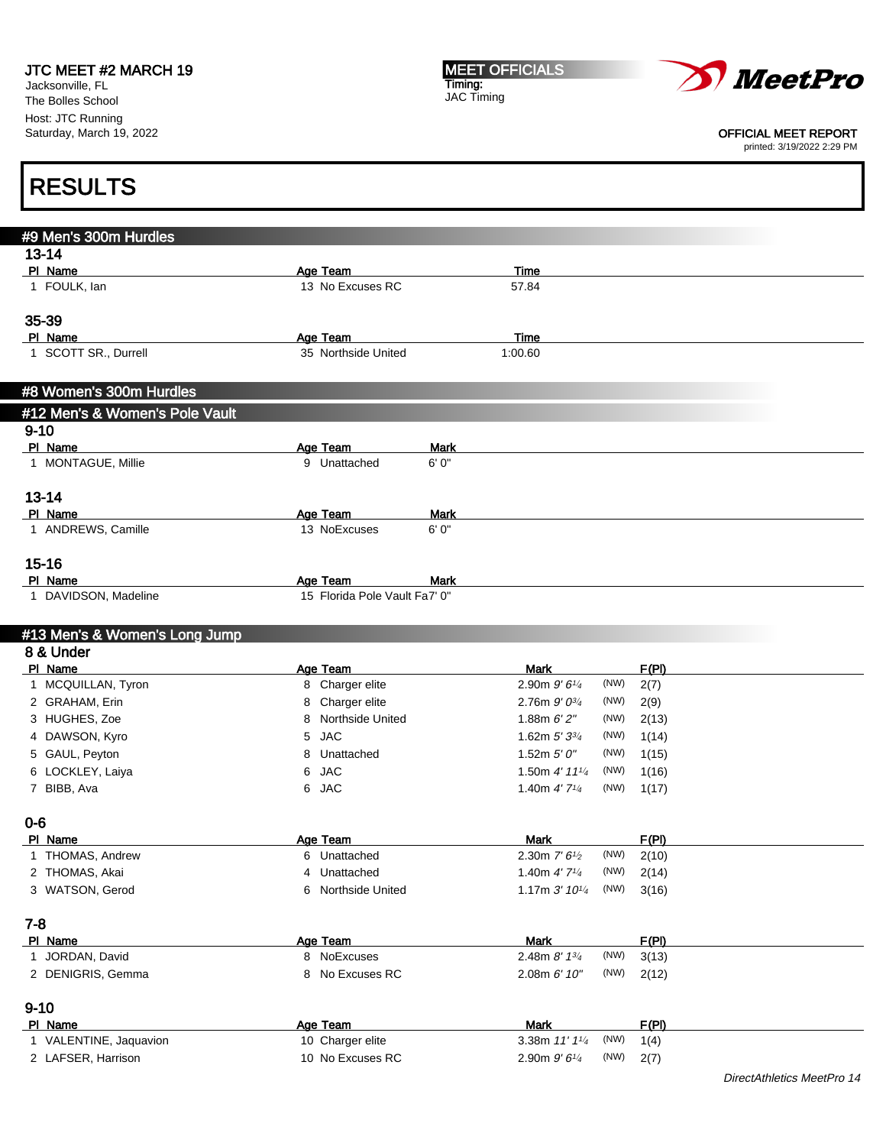Jacksonville, FL The Bolles School Host: JTC Running Saturday, March 19, 2022 MEET OFFICIALS Timing: JAC Timing



OFFICIAL MEET REPORT

printed: 3/19/2022 2:29 PM

### #9 Men's 300m Hurdles 13-14 **Pl Name Age Team Age Team Time** 1 FOULK, Ian 13 No Excuses RC 57.84 35-39 Pl Name **Age Team** Age Team Time 1 SCOTT SR., Durrell 35 Northside United 1:00.60 #8 Women's 300m Hurdles #12 Men's & Women's Pole Vault 9-10 PI Name Mark Age Team Mark 1 MONTAGUE, Millie 9 Unattached 6' 0" 13-14 **Pi Name Mark Age Team Mark** 1 ANDREWS, Camille 13 NoExcuses 6' 0" 15-16 PI Name Mark Age Team Mark 1 DAVIDSON, Madeline 15 Florida Pole Vault Fa7' 0" #13 Men's & Women's Long Jump 8 & Under Pl Name Age Team Mark F(Pl) 1 MCQUILLAN, Tyron 8 Charger elite 2.90m 9' 6<sup>1/4</sup> (NW) 2(7) 2 GRAHAM, Erin  $\begin{array}{ccc} 2 & 8 & \text{Charger elite} \end{array}$  2.76m  $9' 0^{3/4}$  (NW) 2(9) 3 HUGHES, Zoe 8 Northside United 1.88m 6' 2" (NW) 2(13) 4 DAWSON, Kyro  $5 \text{ JAC}$   $1.62 \text{ m } 5' 3^{3/4}$  $(NW)$  1(14) 5 GAUL, Peyton 8 Unattached 1.52m 5' 0" (NW) 1(15) 6 LOCKLEY, Laiya 1.50m 4' 11<sup>1/4</sup> (NW) 1(16) 7 BIBB, Ava 6 JAC 1.40m 4' 71/<sup>4</sup> (NW) 1(17) 0-6 PI Name **Age Team Age Team Mark F(PI)** 1 THOMAS, Andrew  $\overline{6}$  Unattached  $\overline{2.30m}$   $7'6'2$  (NW) 2(10) 2 THOMAS, Akai 1.40m 4' 7<sup>1/4</sup> Unattached 1.40m 4' 7<sup>1/4</sup> (NW) 2(14) 3 WATSON, Gerod **6 Northside United** 1.17m 3' 10<sup>1/4</sup> (NW) 3(16) 7-8 Pl Name Age Team Mark F(Pl) 1 JORDAN, David **8 NoExcuses** 2.48m 8' 1<sup>3/4</sup> (NW) 3(13) 2 DENIGRIS, Gemma 8 No Excuses RC 2.08m 6' 10" (NW) 2(12) 9-10 Pl Name Age Team Mark F(Pl) 1 VALENTINE, Jaquavion 10 Charger elite 3.38m 11' 11/4  $(NW)$  1(4) 2 LAFSER, Harrison 2.90m 9' 61/4 (NW) 2(7) RESULTS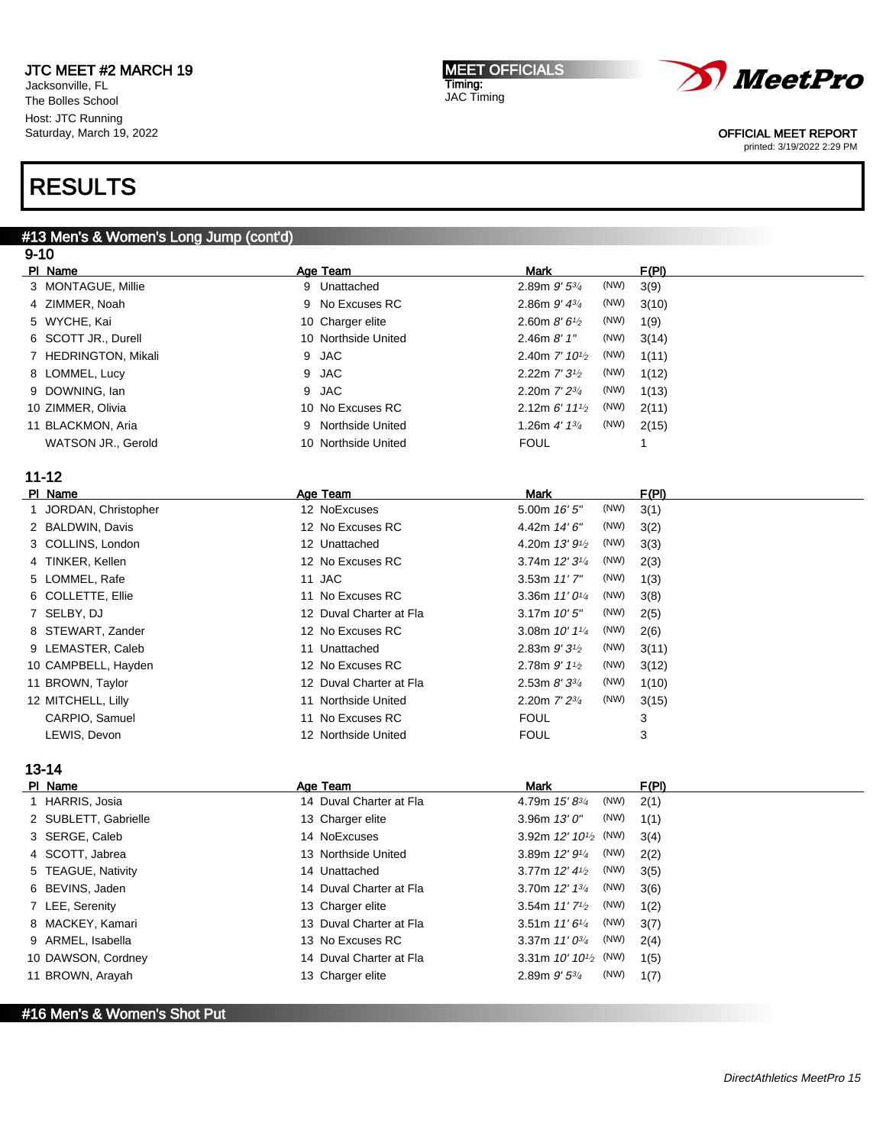#13 Men's & Women's Long Jump (cont'd)

Jacksonville, FL The Bolles School Host: JTC Running Saturday, March 19, 2022

# RESULTS

#### MEET OFFICIALS Timing: JAC Timing



### OFFICIAL MEET REPORT

printed: 3/19/2022 2:29 PM

| $9 - 10$             |                         |                                                   |       |
|----------------------|-------------------------|---------------------------------------------------|-------|
| PI Name              | Age Team                | <b>Mark</b>                                       | F(PI) |
| 3 MONTAGUE, Millie   | 9 Unattached            | (NW)<br>2.89m 9' 53/4                             | 3(9)  |
| 4 ZIMMER, Noah       | No Excuses RC<br>9      | (NW)<br>2.86m $9'$ $4^{3}/4$                      | 3(10) |
| 5 WYCHE, Kai         | 10 Charger elite        | (NW)<br>2.60m $8'6'$                              | 1(9)  |
| 6 SCOTT JR., Durell  | 10 Northside United     | (NW)<br>2.46 $m$ $8'$ $1''$                       | 3(14) |
| 7 HEDRINGTON, Mikali | <b>JAC</b><br>9         | (NW)<br>2.40m $7'$ 10 <sup>1/2</sup>              | 1(11) |
| 8 LOMMEL, Lucy       | <b>JAC</b><br>9         | (NW)<br>2.22m 7' 3 <sup>1/2</sup>                 | 1(12) |
| 9 DOWNING, Ian       | <b>JAC</b><br>9         | (NW)<br>2.20m 7' 23/4                             | 1(13) |
| 10 ZIMMER, Olivia    | 10 No Excuses RC        | 2.12m $6'$ 11 <sup>1</sup> / <sub>2</sub><br>(NW) | 2(11) |
| 11 BLACKMON, Aria    | Northside United<br>9   | (NW)<br>1.26m $4'$ 1 $3/4$                        | 2(15) |
| WATSON JR., Gerold   | 10 Northside United     | <b>FOUL</b>                                       | 1     |
|                      |                         |                                                   |       |
| $11 - 12$            |                         |                                                   |       |
| PI Name              | Age Team                | Mark                                              | F(PI) |
| JORDAN, Christopher  | 12 NoExcuses            | (NW)<br>5.00m 16' 5"                              | 3(1)  |
| 2 BALDWIN, Davis     | 12 No Excuses RC        | 4.42m 14' 6"<br>(NW)                              | 3(2)  |
| 3 COLLINS, London    | 12 Unattached           | 4.20m $13'9'_{2}$<br>(NW)                         | 3(3)  |
| 4 TINKER, Kellen     | 12 No Excuses RC        | 3.74m 12' 3 <sup>1/4</sup><br>(NW)                | 2(3)  |
| 5 LOMMEL, Rafe       | 11 JAC                  | (NW)<br>3.53m 11'7"                               | 1(3)  |
| 6 COLLETTE, Ellie    | 11 No Excuses RC        | (NW)<br>3.36m $11'0^{1/4}$                        | 3(8)  |
| 7 SELBY, DJ          | 12 Duval Charter at Fla | (NW)<br>3.17m $10'5''$                            | 2(5)  |
| 8 STEWART, Zander    | 12 No Excuses RC        | (NW)<br>3.08m $10'$ $1\frac{1}{4}$                | 2(6)  |
| 9 LEMASTER, Caleb    | 11 Unattached           | (NW)<br>2.83m $9'3'$                              | 3(11) |
| 10 CAMPBELL, Hayden  | 12 No Excuses RC        | (NW)<br>2.78m $9'$ $1\frac{1}{2}$                 | 3(12) |
| 11 BROWN, Taylor     | 12 Duval Charter at Fla | (NW)<br>2.53m $8'3^{3/4}$                         | 1(10) |
| 12 MITCHELL, Lilly   | 11 Northside United     | (NW)<br>2.20m $7'$ $2^{3/4}$                      | 3(15) |
| CARPIO, Samuel       | 11 No Excuses RC        | <b>FOUL</b>                                       | 3     |
| LEWIS, Devon         | 12 Northside United     | <b>FOUL</b>                                       | 3     |
|                      |                         |                                                   |       |
| 40 4 A               |                         |                                                   |       |

# 13-14

| PI Name              | Age Team                | <b>Mark</b>                         | F(PI) |
|----------------------|-------------------------|-------------------------------------|-------|
| 1 HARRIS, Josia      | 14 Duval Charter at Fla | (NW)<br>4.79m $15'8^{3/4}$          | 2(1)  |
| 2 SUBLETT, Gabrielle | 13 Charger elite        | (NW)<br>3.96m $13'0''$              | 1(1)  |
| 3 SERGE, Caleb       | 14 NoExcuses            | 3.92m $12'$ $10^{1/2}$ (NW)         | 3(4)  |
| 4 SCOTT, Jabrea      | 13 Northside United     | (NW)<br>3.89m $12'9'4$              | 2(2)  |
| 5 TEAGUE, Nativity   | 14 Unattached           | (NW)<br>3.77m $12'$ 4 $\frac{1}{2}$ | 3(5)  |
| 6 BEVINS, Jaden      | 14 Duval Charter at Fla | (NW)<br>3.70m $12'$ $13'$           | 3(6)  |
| 7 LEE, Serenity      | 13 Charger elite        | (NW)<br>3.54m $11'$ $7\frac{1}{2}$  | 1(2)  |
| 8 MACKEY, Kamari     | 13 Duval Charter at Fla | (NW)<br>3.51m $11'6\frac{1}{4}$     | 3(7)  |
| 9 ARMEL, Isabella    | 13 No Excuses RC        | (NW)<br>3.37m $11'0^{3/4}$          | 2(4)  |
| 10 DAWSON, Cordney   | 14 Duval Charter at Fla | 3.31 m $10'$ $10^{1/2}$ (NW)        | 1(5)  |
| 11 BROWN, Arayah     | 13 Charger elite        | (NW)<br>$2.89m$ $9'$ $5\frac{3}{4}$ | 1(7)  |
|                      |                         |                                     |       |

## #16 Men's & Women's Shot Put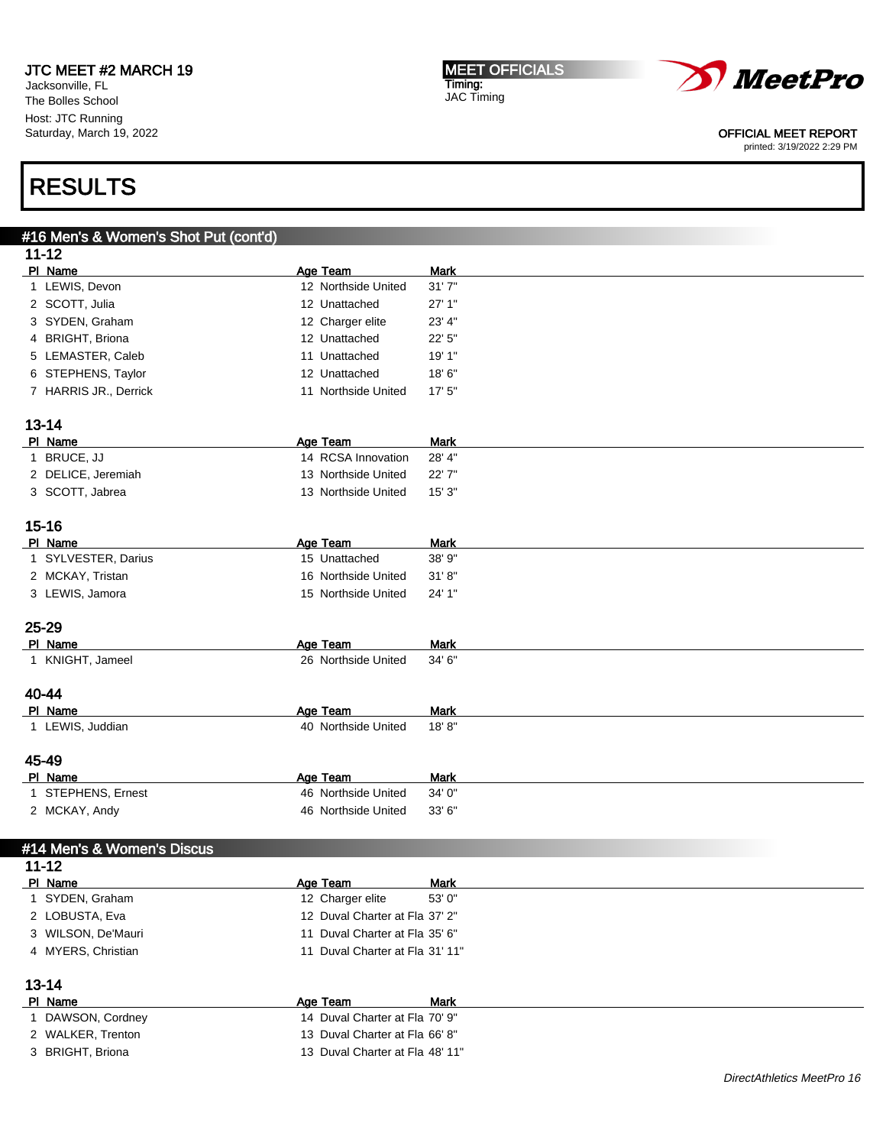Jacksonville, FL The Bolles School Host: JTC Running Saturday, March 19, 2022 MEET OFFICIALS Timing: JAC Timing



OFFICIAL MEET REPORT

printed: 3/19/2022 2:29 PM

# RESULTS

# #16 Men's & Women's Shot Put (cont'd) 11-12 PI Name Mark Age Team Mark 1 LEWIS, Devon 12 Northside United 31' 7" 2 SCOTT, Julia 12 Unattached 27' 1" 3 SYDEN, Graham 12 Charger elite 23' 4" 4 BRIGHT, Briona 12 Unattached 22' 5" 5 LEMASTER, Caleb 10 11 Unattached 19' 1" 6 STEPHENS, Taylor 12 Unattached 18' 6" 7 HARRIS JR., Derrick 11 Northside United 17' 5" 13-14 PI Name Mark Age Team Mark 1 BRUCE, JJ 14 RCSA Innovation 28' 4' 2 DELICE, Jeremiah 13 Northside United 22' 7" 3 SCOTT, Jabrea 13 Northside United 15' 3" 15-16 PI Name Mark Age Team Mark 1 SYLVESTER, Darius 15 Unattached 38' 9" 2 MCKAY, Tristan 16 Northside United 31' 8" 3 LEWIS, Jamora 15 Northside United 24' 1" 25-29 PI Name Mark Age Team Mark 1 KNIGHT, Jameel 26 Northside United 34' 6" 40-44 PI Name Mark Age Team Mark 1 LEWIS, Juddian 40 Northside United 18' 8" 45-49 PI Name Mark Age Team Mark 1 STEPHENS, Ernest 46 Northside United 34' 0" 2 MCKAY, Andy 46 Northside United 33' 6" #14 Men's & Women's Discus 11-12 PI Name Mark Age Team Mark 1 SYDEN, Graham 12 Charger elite 53' 0" 2 LOBUSTA, Eva 12 Duval Charter at Fla 37' 2" 3 WILSON, De'Mauri 11 Duval Charter at Fla 35' 6" 4 MYERS, Christian 11 Duval Charter at Fla 31' 11" 13-14 PI Name Mark Age Team Mark 1 DAWSON, Cordney 14 Duval Charter at Fla 70' 9" 2 WALKER, Trenton 13 Duval Charter at Fla 66' 8" 3 BRIGHT, Briona 13 Duval Charter at Fla 48' 11"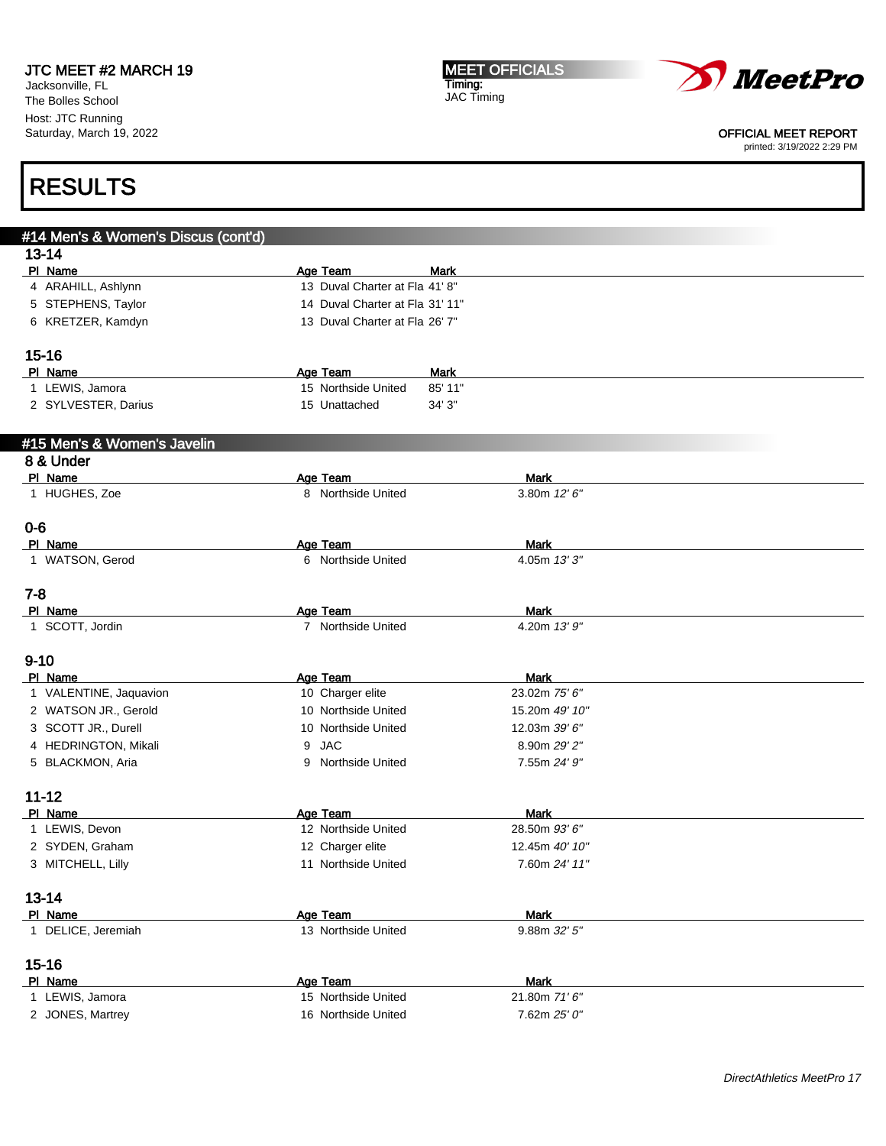Jacksonville, FL The Bolles School Host: JTC Running Saturday, March 19, 2022 MEET OFFICIALS Timing: JAC Timing



```
OFFICIAL MEET REPORT
```
printed: 3/19/2022 2:29 PM

| #14 Men's & Women's Discus (cont'd) |                                 |                |  |
|-------------------------------------|---------------------------------|----------------|--|
| $13 - 14$                           |                                 |                |  |
| PI Name                             | Age Team                        | Mark           |  |
| 4 ARAHILL, Ashlynn                  | 13 Duval Charter at Fla 41'8"   |                |  |
| 5 STEPHENS, Taylor                  | 14 Duval Charter at Fla 31' 11" |                |  |
| 6 KRETZER, Kamdyn                   | 13 Duval Charter at Fla 26' 7"  |                |  |
| $15 - 16$                           |                                 |                |  |
| PI Name                             | Age Team                        | <b>Mark</b>    |  |
| 1 LEWIS, Jamora                     | 15 Northside United             | 85' 11"        |  |
| 2 SYLVESTER, Darius                 | 15 Unattached                   | 34' 3"         |  |
| #15 Men's & Women's Javelin         |                                 |                |  |
| 8 & Under                           |                                 |                |  |
| PI Name                             | <b>Age Team</b>                 | Mark           |  |
| 1 HUGHES, Zoe                       | 8 Northside United              | 3.80m $12'6''$ |  |
| $0 - 6$                             |                                 |                |  |
| PI Name                             | Age Team                        | <b>Mark</b>    |  |
| 1 WATSON, Gerod                     | 6 Northside United              | 4.05m 13'3"    |  |
| $7 - 8$                             |                                 |                |  |
| PI Name                             | Age Team                        | Mark           |  |
| 1 SCOTT, Jordin                     | 7 Northside United              | 4.20m 13' 9"   |  |
| $9 - 10$                            |                                 |                |  |
| PI Name                             | Age Team                        | Mark           |  |
| 1 VALENTINE, Jaquavion              | 10 Charger elite                | 23.02m 75' 6"  |  |
| 2 WATSON JR., Gerold                | 10 Northside United             | 15.20m 49' 10" |  |
| 3 SCOTT JR., Durell                 | 10 Northside United             | 12.03m 39' 6"  |  |
| 4 HEDRINGTON, Mikali                | <b>JAC</b><br>9                 | 8.90m 29' 2"   |  |
| 5 BLACKMON, Aria                    | 9 Northside United              | 7.55m 24' 9"   |  |
| $11 - 12$                           |                                 |                |  |
| PI Name                             | Age Team                        | <b>Mark</b>    |  |
| 1 LEWIS, Devon                      | 12 Northside United             | 28.50m 93' 6"  |  |
| 2 SYDEN, Graham                     | 12 Charger elite                | 12.45m 40' 10" |  |
| 3 MITCHELL, Lilly                   | 11 Northside United             | 7.60m 24' 11"  |  |
| $13 - 14$                           |                                 |                |  |
| PI Name                             | Age Team                        | <b>Mark</b>    |  |
| 1 DELICE, Jeremiah                  | 13 Northside United             | 9.88m 32' 5"   |  |
| $15 - 16$                           |                                 |                |  |
| PI Name                             | Age Team                        | <b>Mark</b>    |  |
| 1 LEWIS, Jamora                     | 15 Northside United             | 21.80m 71'6"   |  |
| 2 JONES, Martrey                    | 16 Northside United             | 7.62m 25' 0"   |  |